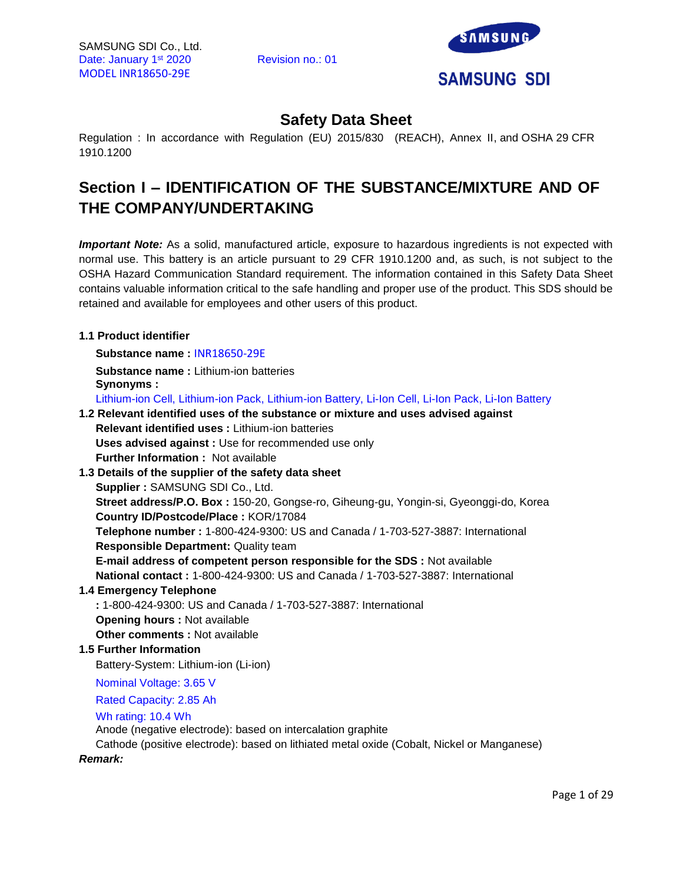

# **Safety Data Sheet**

Regulation : In accordance with Regulation (EU) 2015/830 (REACH), Annex II, and OSHA 29 CFR 1910.1200

# **Section I – IDENTIFICATION OF THE SUBSTANCE/MIXTURE AND OF THE COMPANY/UNDERTAKING**

*Important Note:* As a solid, manufactured article, exposure to hazardous ingredients is not expected with normal use. This battery is an article pursuant to 29 CFR 1910.1200 and, as such, is not subject to the OSHA Hazard Communication Standard requirement. The information contained in this Safety Data Sheet contains valuable information critical to the safe handling and proper use of the product. This SDS should be retained and available for employees and other users of this product.

# **1.1 Product identifier**

**Substance name :** INR18650-29E

**Substance name :** Lithium-ion batteries **Synonyms :** 

Lithium-ion Cell, Lithium-ion Pack, Lithium-ion Battery, Li-Ion Cell, Li-Ion Pack, Li-Ion Battery

# **1.2 Relevant identified uses of the substance or mixture and uses advised against Relevant identified uses :** Lithium-ion batteries

**Uses advised against :** Use for recommended use only **Further Information :** Not available

**1.3 Details of the supplier of the safety data sheet Supplier :** SAMSUNG SDI Co., Ltd.

**Street address/P.O. Box :** 150-20, Gongse-ro, Giheung-gu, Yongin-si, Gyeonggi-do, Korea **Country ID/Postcode/Place :** KOR/17084

**Telephone number :** 1-800-424-9300: US and Canada / 1-703-527-3887: International **Responsible Department:** Quality team

**E-mail address of competent person responsible for the SDS :** Not available **National contact :** 1-800-424-9300: US and Canada / 1-703-527-3887: International

# **1.4 Emergency Telephone**

**:** 1-800-424-9300: US and Canada / 1-703-527-3887: International **Opening hours :** Not available **Other comments :** Not available

# **1.5 Further Information**

Battery-System: Lithium-ion (Li-ion)

Nominal Voltage: 3.65 V

Rated Capacity: 2.85 Ah

#### Wh rating: 10.4 Wh

Anode (negative electrode): based on intercalation graphite

Cathode (positive electrode): based on lithiated metal oxide (Cobalt, Nickel or Manganese)

*Remark:*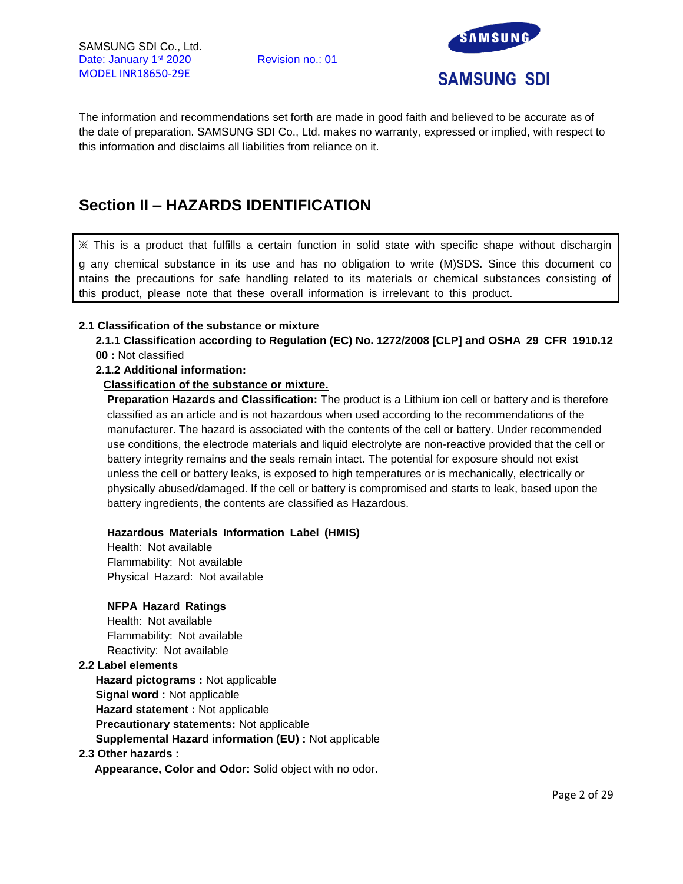

The information and recommendations set forth are made in good faith and believed to be accurate as of the date of preparation. SAMSUNG SDI Co., Ltd. makes no warranty, expressed or implied, with respect to this information and disclaims all liabilities from reliance on it.

# **Section II – HAZARDS IDENTIFICATION**

※ This is a product that fulfills a certain function in solid state with specific shape without dischargin g any chemical substance in its use and has no obligation to write (M)SDS. Since this document co ntains the precautions for safe handling related to its materials or chemical substances consisting of this product, please note that these overall information is irrelevant to this product.

### **2.1 Classification of the substance or mixture**

**2.1.1 Classification according to Regulation (EC) No. 1272/2008 [CLP] and OSHA 29 CFR 1910.12 00 :** Not classified

### **2.1.2 Additional information:**

### **Classification of the substance or mixture.**

**Preparation Hazards and Classification:** The product is a Lithium ion cell or battery and is therefore classified as an article and is not hazardous when used according to the recommendations of the manufacturer. The hazard is associated with the contents of the cell or battery. Under recommended use conditions, the electrode materials and liquid electrolyte are non-reactive provided that the cell or battery integrity remains and the seals remain intact. The potential for exposure should not exist unless the cell or battery leaks, is exposed to high temperatures or is mechanically, electrically or physically abused/damaged. If the cell or battery is compromised and starts to leak, based upon the battery ingredients, the contents are classified as Hazardous.

#### **Hazardous Materials Information Label (HMIS)**

Health: Not available Flammability: Not available Physical Hazard: Not available

# **NFPA Hazard Ratings**

Health: Not available Flammability: Not available Reactivity: Not available

# **2.2 Label elements**

**Hazard pictograms :** Not applicable **Signal word :** Not applicable **Hazard statement :** Not applicable **Precautionary statements:** Not applicable **Supplemental Hazard information (EU) :** Not applicable

#### **2.3 Other hazards :**

**Appearance, Color and Odor:** Solid object with no odor.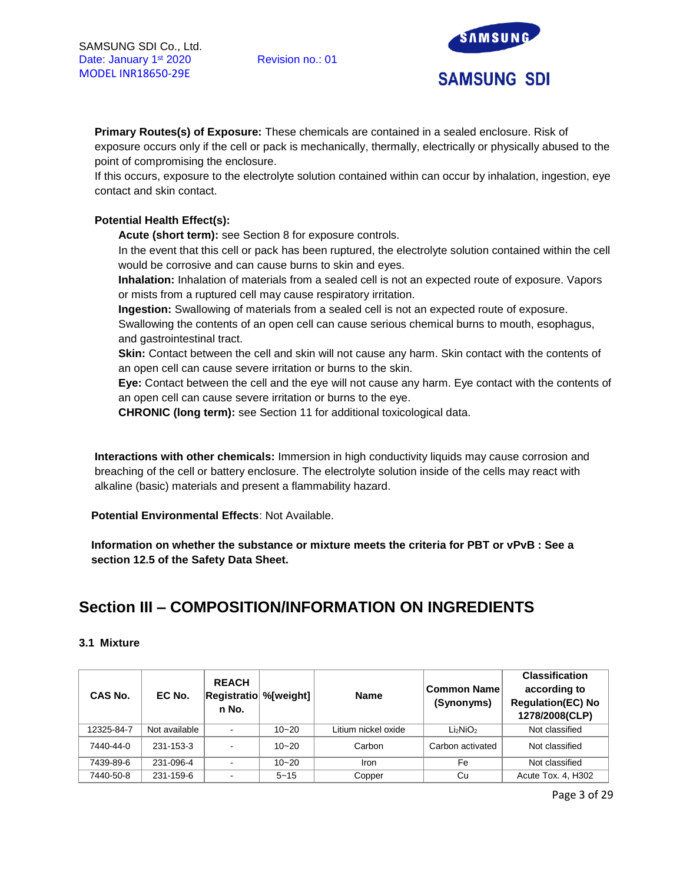

**Primary Routes(s) of Exposure:** These chemicals are contained in a sealed enclosure. Risk of exposure occurs only if the cell or pack is mechanically, thermally, electrically or physically abused to the point of compromising the enclosure.

If this occurs, exposure to the electrolyte solution contained within can occur by inhalation, ingestion, eye contact and skin contact.

# **Potential Health Effect(s):**

**Acute (short term):** see Section 8 for exposure controls.

In the event that this cell or pack has been ruptured, the electrolyte solution contained within the cell would be corrosive and can cause burns to skin and eyes.

**Inhalation:** Inhalation of materials from a sealed cell is not an expected route of exposure. Vapors or mists from a ruptured cell may cause respiratory irritation.

**Ingestion:** Swallowing of materials from a sealed cell is not an expected route of exposure.

Swallowing the contents of an open cell can cause serious chemical burns to mouth, esophagus, and gastrointestinal tract.

**Skin:** Contact between the cell and skin will not cause any harm. Skin contact with the contents of an open cell can cause severe irritation or burns to the skin.

**Eye:** Contact between the cell and the eye will not cause any harm. Eye contact with the contents of an open cell can cause severe irritation or burns to the eye.

**CHRONIC (long term):** see Section 11 for additional toxicological data.

**Interactions with other chemicals:** Immersion in high conductivity liquids may cause corrosion and breaching of the cell or battery enclosure. The electrolyte solution inside of the cells may react with alkaline (basic) materials and present a flammability hazard.

**Potential Environmental Effects**: Not Available.

**Information on whether the substance or mixture meets the criteria for PBT or vPvB : See a section 12.5 of the Safety Data Sheet.**

# **Section III – COMPOSITION/INFORMATION ON INGREDIENTS**

#### **3.1 Mixture**

| <b>CAS No.</b> | EC No.        | <b>REACH</b><br><b>Registratio %</b> [weight]<br>n No. |           | <b>Name</b>         | Common Name<br>(Synonyms)        | <b>Classification</b><br>according to<br><b>Regulation(EC) No</b><br>1278/2008(CLP) |
|----------------|---------------|--------------------------------------------------------|-----------|---------------------|----------------------------------|-------------------------------------------------------------------------------------|
| 12325-84-7     | Not available |                                                        | $10 - 20$ | Litium nickel oxide | Li <sub>2</sub> NiO <sub>2</sub> | Not classified                                                                      |
| 7440-44-0      | 231-153-3     | $\sim$                                                 | $10 - 20$ | Carbon              | Carbon activated                 | Not classified                                                                      |
| 7439-89-6      | 231-096-4     |                                                        | $10 - 20$ | Iron                | Fe                               | Not classified                                                                      |
| 7440-50-8      | 231-159-6     |                                                        | $5 - 15$  | Copper              | Cu                               | Acute Tox. 4, H302                                                                  |

Page 3 of 29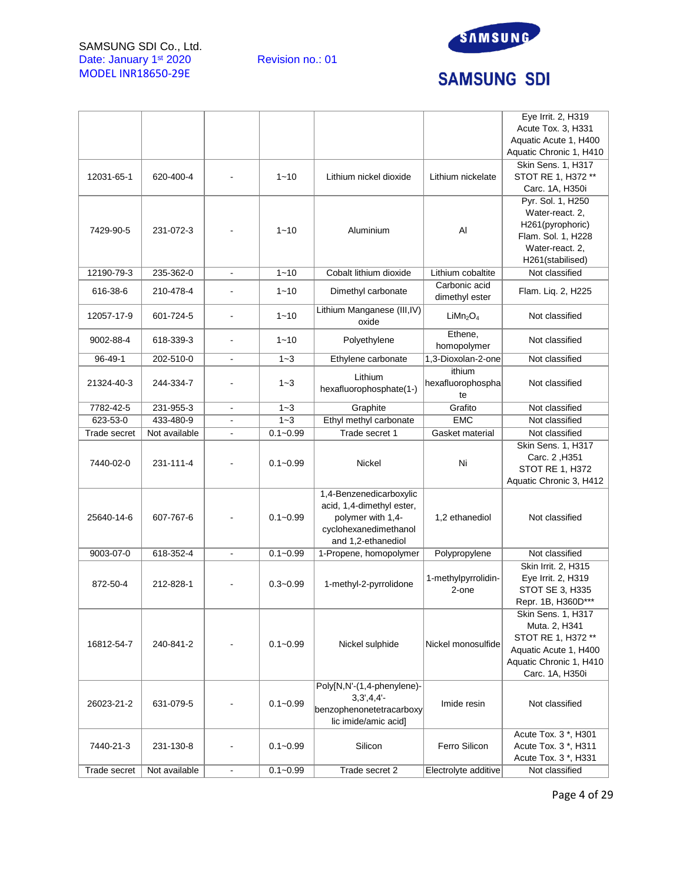SAMSUNG SDI Co., Ltd. Date: January 1<sup>st</sup> 2020 Revision no.: 01 MODEL INR18650-29E



# **SAMSUNG SDI**

|              |               |                              |              |                             |                                  | Eye Irrit. 2, H319      |
|--------------|---------------|------------------------------|--------------|-----------------------------|----------------------------------|-------------------------|
|              |               |                              |              |                             |                                  | Acute Tox. 3, H331      |
|              |               |                              |              |                             |                                  | Aquatic Acute 1, H400   |
|              |               |                              |              |                             |                                  | Aquatic Chronic 1, H410 |
|              |               |                              |              |                             |                                  | Skin Sens. 1, H317      |
| 12031-65-1   | 620-400-4     |                              | $1 - 10$     | Lithium nickel dioxide      | Lithium nickelate                | STOT RE 1, H372 **      |
|              |               |                              |              |                             |                                  | Carc. 1A, H350i         |
|              |               |                              |              |                             |                                  | Pyr. Sol. 1, H250       |
|              |               |                              |              |                             |                                  | Water-react. 2,         |
|              |               |                              |              |                             |                                  | H261(pyrophoric)        |
| 7429-90-5    | 231-072-3     |                              | $1 - 10$     | Aluminium                   | Al                               | Flam. Sol. 1, H228      |
|              |               |                              |              |                             |                                  | Water-react. 2.         |
|              |               |                              |              |                             |                                  | H261(stabilised)        |
| 12190-79-3   | 235-362-0     | $\frac{1}{2}$                | $1 - 10$     | Cobalt lithium dioxide      | Lithium cobaltite                | Not classified          |
|              |               |                              |              |                             | Carbonic acid                    |                         |
| 616-38-6     | 210-478-4     |                              | $1 - 10$     | Dimethyl carbonate          | dimethyl ester                   | Flam. Liq. 2, H225      |
|              |               |                              |              | Lithium Manganese (III, IV) |                                  |                         |
| 12057-17-9   | 601-724-5     | $\blacksquare$               | $1 - 10$     | oxide                       | LiMn <sub>2</sub> O <sub>4</sub> | Not classified          |
|              |               |                              |              |                             | Ethene,                          |                         |
| 9002-88-4    | 618-339-3     |                              | $1 - 10$     | Polyethylene                | homopolymer                      | Not classified          |
| 96-49-1      | 202-510-0     |                              | $1 - 3$      | Ethylene carbonate          | 1,3-Dioxolan-2-one               | Not classified          |
|              |               |                              |              |                             | ithium                           |                         |
| 21324-40-3   | 244-334-7     |                              | $1 - 3$      | Lithium                     | hexafluorophospha                | Not classified          |
|              |               |                              |              | hexafluorophosphate(1-)     | te                               |                         |
| 7782-42-5    | 231-955-3     |                              | $1 - 3$      | Graphite                    | Grafito                          | Not classified          |
| 623-53-0     | 433-480-9     | $\qquad \qquad \blacksquare$ | $1 - 3$      |                             | <b>EMC</b>                       | Not classified          |
|              |               |                              |              | Ethyl methyl carbonate      |                                  |                         |
| Trade secret | Not available |                              | $0.1 - 0.99$ | Trade secret 1              | Gasket material                  | Not classified          |
|              |               |                              |              |                             |                                  | Skin Sens. 1, H317      |
| 7440-02-0    | 231-111-4     |                              | $0.1 - 0.99$ | Nickel                      | Ni                               | Carc. 2, H351           |
|              |               |                              |              |                             |                                  | <b>STOT RE 1, H372</b>  |
|              |               |                              |              |                             |                                  | Aquatic Chronic 3, H412 |
|              |               |                              |              | 1,4-Benzenedicarboxylic     |                                  |                         |
|              |               |                              |              | acid, 1,4-dimethyl ester,   |                                  |                         |
| 25640-14-6   | 607-767-6     |                              | $0.1 - 0.99$ | polymer with 1,4-           | 1,2 ethanediol                   | Not classified          |
|              |               |                              |              | cyclohexanedimethanol       |                                  |                         |
|              |               |                              |              | and 1,2-ethanediol          |                                  |                         |
| 9003-07-0    | 618-352-4     | ÷,                           | $0.1 - 0.99$ | 1-Propene, homopolymer      | Polypropylene                    | Not classified          |
|              |               |                              |              |                             |                                  | Skin Irrit. 2, H315     |
| 872-50-4     | 212-828-1     |                              | $0.3 - 0.99$ | 1-methyl-2-pyrrolidone      | 1-methylpyrrolidin-              | Eye Irrit. 2, H319      |
|              |               |                              |              |                             | 2-one                            | STOT SE 3, H335         |
|              |               |                              |              |                             |                                  | Repr. 1B, H360D***      |
|              |               |                              |              |                             |                                  | Skin Sens. 1, H317      |
|              |               |                              |              |                             |                                  | Muta. 2, H341           |
| 16812-54-7   | 240-841-2     |                              | $0.1 - 0.99$ | Nickel sulphide             | Nickel monosulfide               | STOT RE 1, H372 **      |
|              |               |                              |              |                             |                                  | Aquatic Acute 1, H400   |
|              |               |                              |              |                             |                                  | Aquatic Chronic 1, H410 |
|              |               |                              |              |                             |                                  | Carc. 1A, H350i         |
|              |               |                              |              | Poly[N,N'-(1,4-phenylene)-  |                                  |                         |
| 26023-21-2   | 631-079-5     |                              | $0.1 - 0.99$ | $3,3',4,4'-$                | Imide resin                      | Not classified          |
|              |               |                              |              | benzophenonetetracarboxy    |                                  |                         |
|              |               |                              |              | lic imide/amic acid]        |                                  |                         |
|              |               |                              |              |                             |                                  | Acute Tox. 3 *, H301    |
| 7440-21-3    | 231-130-8     |                              | $0.1 - 0.99$ | Silicon                     | Ferro Silicon                    | Acute Tox. 3 *, H311    |
|              |               |                              |              |                             |                                  | Acute Tox. 3 *, H331    |
| Trade secret | Not available | $\blacksquare$               | $0.1 - 0.99$ | Trade secret 2              | Electrolyte additive             | Not classified          |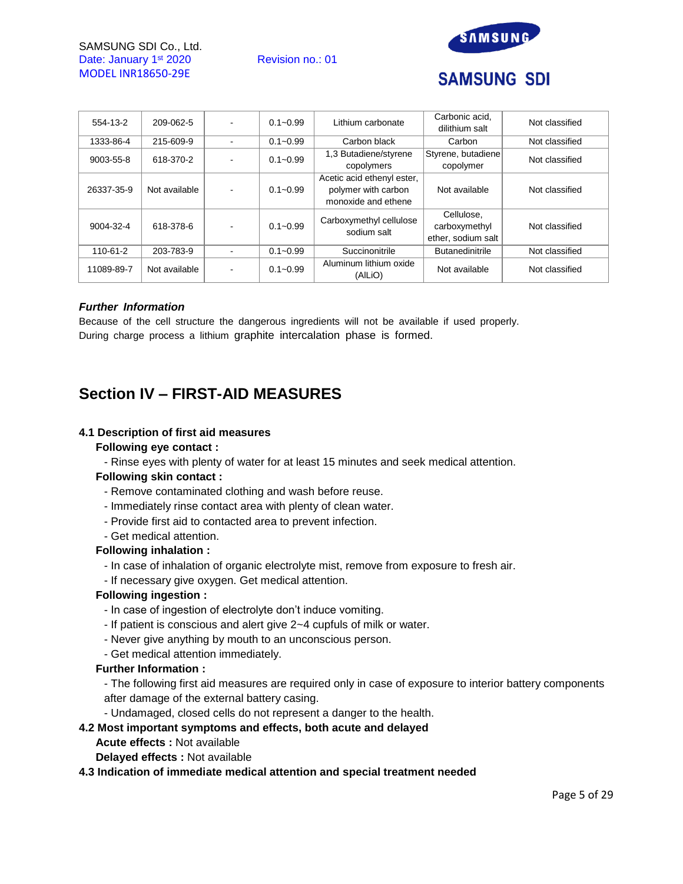SAMSUNG SDI Co., Ltd. Date: January 1<sup>st</sup> 2020 Revision no.: 01 MODEL INR18650-29E



# **SAMSUNG SDI**

| 554-13-2   | 209-062-5     | $0.1 - 0.99$ | Lithium carbonate                                                        | Carbonic acid.<br>dilithium salt                  | Not classified |
|------------|---------------|--------------|--------------------------------------------------------------------------|---------------------------------------------------|----------------|
| 1333-86-4  | 215-609-9     | $0.1 - 0.99$ | Carbon black                                                             |                                                   | Not classified |
| 9003-55-8  | 618-370-2     | $0.1 - 0.99$ | 1,3 Butadiene/styrene<br>copolymers                                      | Styrene, butadiene<br>copolymer                   | Not classified |
| 26337-35-9 | Not available | $0.1 - 0.99$ | Acetic acid ethenyl ester,<br>polymer with carbon<br>monoxide and ethene | Not available                                     | Not classified |
| 9004-32-4  | 618-378-6     | $0.1 - 0.99$ | Carboxymethyl cellulose<br>sodium salt                                   | Cellulose.<br>carboxymethyl<br>ether, sodium salt | Not classified |
| 110-61-2   | 203-783-9     | $0.1 - 0.99$ | Succinonitrile                                                           | <b>Butanedinitrile</b>                            | Not classified |
| 11089-89-7 | Not available | $0.1 - 0.99$ | Aluminum lithium oxide<br>(AILIO)                                        | Not available                                     | Not classified |

### *Further Information*

Because of the cell structure the dangerous ingredients will not be available if used properly. During charge process a lithium graphite intercalation phase is formed.

# **Section IV – FIRST-AID MEASURES**

### **4.1 Description of first aid measures**

#### **Following eye contact :**

- Rinse eyes with plenty of water for at least 15 minutes and seek medical attention.

# **Following skin contact :**

- Remove contaminated clothing and wash before reuse.
- Immediately rinse contact area with plenty of clean water.
- Provide first aid to contacted area to prevent infection.
- Get medical attention.

#### **Following inhalation :**

- In case of inhalation of organic electrolyte mist, remove from exposure to fresh air.
- If necessary give oxygen. Get medical attention.

# **Following ingestion :**

- In case of ingestion of electrolyte don't induce vomiting.
- If patient is conscious and alert give 2~4 cupfuls of milk or water.
- Never give anything by mouth to an unconscious person.
- Get medical attention immediately.

### **Further Information :**

- The following first aid measures are required only in case of exposure to interior battery components after damage of the external battery casing.

- Undamaged, closed cells do not represent a danger to the health.

# **4.2 Most important symptoms and effects, both acute and delayed**

- **Acute effects :** Not available
- **Delayed effects :** Not available

#### **4.3 Indication of immediate medical attention and special treatment needed**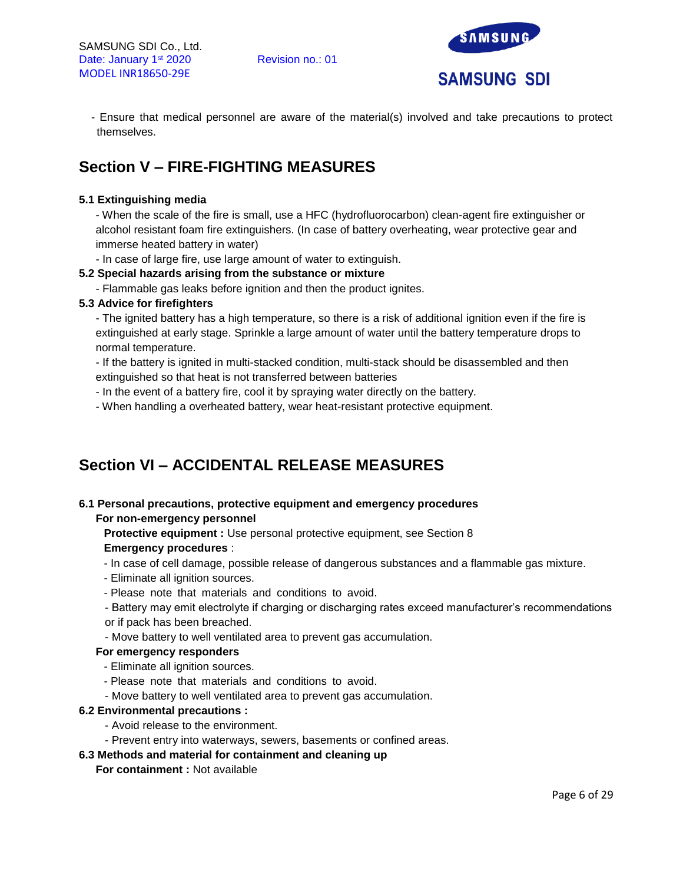

- Ensure that medical personnel are aware of the material(s) involved and take precautions to protect themselves.

# **Section V – FIRE-FIGHTING MEASURES**

# **5.1 Extinguishing media**

- When the scale of the fire is small, use a HFC (hydrofluorocarbon) clean-agent fire extinguisher or alcohol resistant foam fire extinguishers. (In case of battery overheating, wear protective gear and immerse heated battery in water)

- In case of large fire, use large amount of water to extinguish.

### **5.2 Special hazards arising from the substance or mixture**

- Flammable gas leaks before ignition and then the product ignites.

### **5.3 Advice for firefighters**

- The ignited battery has a high temperature, so there is a risk of additional ignition even if the fire is extinguished at early stage. Sprinkle a large amount of water until the battery temperature drops to normal temperature.

- If the battery is ignited in multi-stacked condition, multi-stack should be disassembled and then extinguished so that heat is not transferred between batteries

- In the event of a battery fire, cool it by spraying water directly on the battery.
- When handling a overheated battery, wear heat-resistant protective equipment.

# **Section VI – ACCIDENTAL RELEASE MEASURES**

# **6.1 Personal precautions, protective equipment and emergency procedures**

### **For non-emergency personnel**

**Protective equipment :** Use personal protective equipment, see Section 8 **Emergency procedures** :

- In case of cell damage, possible release of dangerous substances and a flammable gas mixture.
- Eliminate all ignition sources.
- Please note that materials and conditions to avoid.
- Battery may emit electrolyte if charging or discharging rates exceed manufacturer's recommendations or if pack has been breached.
- Move battery to well ventilated area to prevent gas accumulation.

# **For emergency responders**

- Eliminate all ignition sources.
- Please note that materials and conditions to avoid.
- Move battery to well ventilated area to prevent gas accumulation.

#### **6.2 Environmental precautions :**

- Avoid release to the environment.
- Prevent entry into waterways, sewers, basements or confined areas.

# **6.3 Methods and material for containment and cleaning up**

#### **For containment :** Not available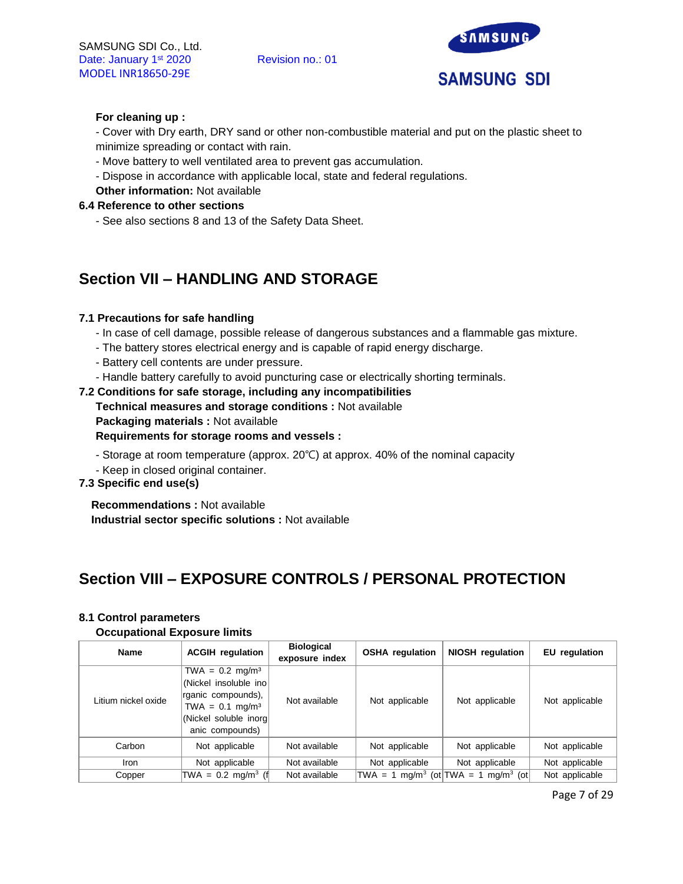

### **For cleaning up :**

- Cover with Dry earth, DRY sand or other non-combustible material and put on the plastic sheet to minimize spreading or contact with rain.

- Move battery to well ventilated area to prevent gas accumulation.
- Dispose in accordance with applicable local, state and federal regulations.
- **Other information:** Not available

### **6.4 Reference to other sections**

- See also sections 8 and 13 of the Safety Data Sheet.

# **Section VII – HANDLING AND STORAGE**

### **7.1 Precautions for safe handling**

- In case of cell damage, possible release of dangerous substances and a flammable gas mixture.
- The battery stores electrical energy and is capable of rapid energy discharge.
- Battery cell contents are under pressure.
- Handle battery carefully to avoid puncturing case or electrically shorting terminals.

### **7.2 Conditions for safe storage, including any incompatibilities**

- **Technical measures and storage conditions :** Not available
- **Packaging materials :** Not available

### **Requirements for storage rooms and vessels :**

- Storage at room temperature (approx. 20℃) at approx. 40% of the nominal capacity
- Keep in closed original container.

# **7.3 Specific end use(s)**

**Recommendations :** Not available **Industrial sector specific solutions :** Not available

# **Section VIII – EXPOSURE CONTROLS / PERSONAL PROTECTION**

#### **8.1 Control parameters**

#### **Occupational Exposure limits**

| <b>Name</b>         | <b>ACGIH</b> regulation                                                                                                                        |               | <b>OSHA</b> regulation | <b>NIOSH</b> regulation                                     | EU regulation  |
|---------------------|------------------------------------------------------------------------------------------------------------------------------------------------|---------------|------------------------|-------------------------------------------------------------|----------------|
| Litium nickel oxide | $TWA = 0.2$ mg/m <sup>3</sup><br>(Nickel insoluble ino<br>rganic compounds),<br>$TWA = 0.1 mg/m3$<br>(Nickel soluble inorg)<br>anic compounds) | Not available | Not applicable         | Not applicable                                              | Not applicable |
| Carbon              | Not applicable                                                                                                                                 | Not available | Not applicable         | Not applicable                                              | Not applicable |
| <b>Iron</b>         | Not applicable                                                                                                                                 | Not available | Not applicable         | Not applicable                                              | Not applicable |
| Copper              | TWA = $0.2 \text{ mg/m}^3$ (f                                                                                                                  | Not available |                        | TWA = 1 mg/m <sup>3</sup> (ot TWA = 1 mg/m <sup>3</sup> (ot | Not applicable |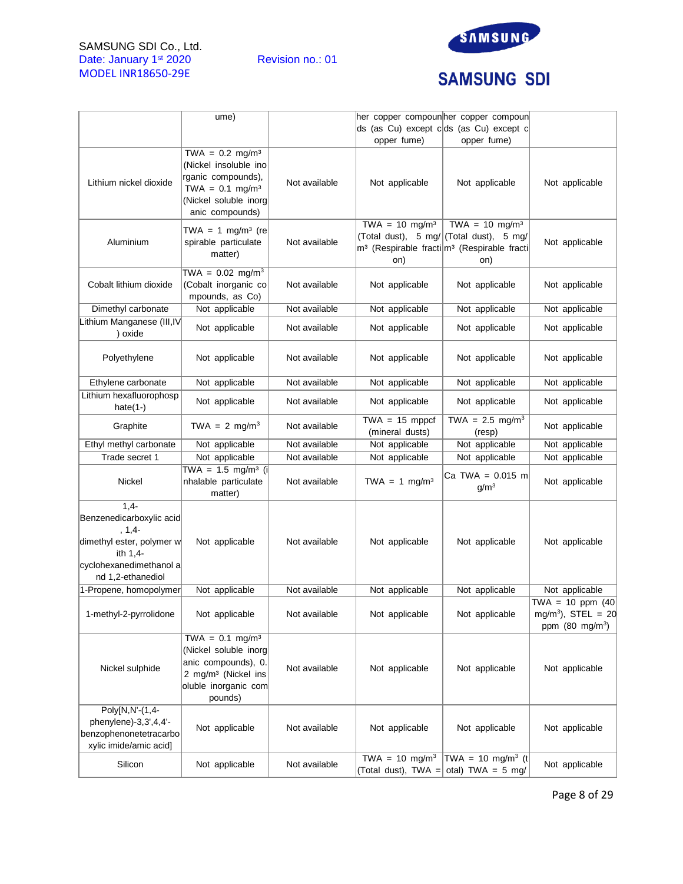# SAMSUNG SDI Co., Ltd. Date: January 1<sup>st</sup> 2020 Revision no.: 01 MODEL INR18650-29E



# **SAMSUNG SDI**

|                                                                                                                                          | ume)                                                                                                                                                |               | her copper compoun her copper compoun<br>opper fume) | ds (as Cu) except c ds (as Cu) except c<br>opper fume)                                                                                             |                                                                                    |
|------------------------------------------------------------------------------------------------------------------------------------------|-----------------------------------------------------------------------------------------------------------------------------------------------------|---------------|------------------------------------------------------|----------------------------------------------------------------------------------------------------------------------------------------------------|------------------------------------------------------------------------------------|
| Lithium nickel dioxide                                                                                                                   | TWA = $0.2 \text{ mg/m}^3$<br>(Nickel insoluble ino<br>rganic compounds),<br>TWA = $0.1 \text{ mg/m}^3$<br>(Nickel soluble inorg<br>anic compounds) | Not available | Not applicable                                       | Not applicable                                                                                                                                     | Not applicable                                                                     |
| Aluminium                                                                                                                                | TWA = 1 mg/m <sup>3</sup> (re<br>spirable particulate<br>matter)                                                                                    | Not available | TWA = $10 \text{ mg/m}^3$<br>on)                     | TWA = $10 \text{ mg/m}^3$<br>(Total dust), 5 mg/ (Total dust), 5 mg/<br>m <sup>3</sup> (Respirable fracti m <sup>3</sup> (Respirable fracti<br>on) | Not applicable                                                                     |
| Cobalt lithium dioxide                                                                                                                   | TWA = $0.02 \text{ mg/m}^3$<br>(Cobalt inorganic co<br>mpounds, as Co)                                                                              | Not available | Not applicable                                       | Not applicable                                                                                                                                     | Not applicable                                                                     |
| Dimethyl carbonate                                                                                                                       | Not applicable                                                                                                                                      | Not available | Not applicable                                       | Not applicable                                                                                                                                     | Not applicable                                                                     |
| Lithium Manganese (III, IV<br>) oxide                                                                                                    | Not applicable                                                                                                                                      | Not available | Not applicable                                       | Not applicable                                                                                                                                     | Not applicable                                                                     |
| Polyethylene                                                                                                                             | Not applicable                                                                                                                                      | Not available | Not applicable                                       | Not applicable                                                                                                                                     | Not applicable                                                                     |
| Ethylene carbonate                                                                                                                       | Not applicable                                                                                                                                      | Not available | Not applicable                                       | Not applicable                                                                                                                                     | Not applicable                                                                     |
| Lithium hexafluorophosp<br>hate $(1-)$                                                                                                   | Not applicable                                                                                                                                      | Not available | Not applicable                                       | Not applicable                                                                                                                                     | Not applicable                                                                     |
| Graphite                                                                                                                                 | TWA = 2 mg/m <sup>3</sup>                                                                                                                           | Not available | $TWA = 15$ mppcf<br>(mineral dusts)                  | TWA = $2.5 \text{ mg/m}^3$<br>(resp)                                                                                                               | Not applicable                                                                     |
| Ethyl methyl carbonate                                                                                                                   | Not applicable                                                                                                                                      | Not available | Not applicable                                       | Not applicable                                                                                                                                     | Not applicable                                                                     |
| Trade secret 1                                                                                                                           | Not applicable                                                                                                                                      | Not available | Not applicable                                       | Not applicable                                                                                                                                     | Not applicable                                                                     |
| <b>Nickel</b>                                                                                                                            | TWA = $1.5 \text{ mg/m}^3$ (i)<br>nhalable particulate<br>matter)                                                                                   | Not available | TWA = $1 \text{ mg/m}^3$                             | Ca TWA = $0.015$ m<br>g/m <sup>3</sup>                                                                                                             | Not applicable                                                                     |
| $1,4-$<br>Benzenedicarboxylic acid<br>$, 1, 4-$<br>dimethyl ester, polymer w<br>ith 1,4-<br>cyclohexanedimethanol a<br>nd 1,2-ethanediol | Not applicable                                                                                                                                      | Not available | Not applicable                                       | Not applicable                                                                                                                                     | Not applicable                                                                     |
| 1-Propene, homopolymer                                                                                                                   | Not applicable                                                                                                                                      | Not available | Not applicable                                       | Not applicable                                                                                                                                     | Not applicable                                                                     |
| 1-methyl-2-pyrrolidone                                                                                                                   | Not applicable                                                                                                                                      | Not available | Not applicable                                       | Not applicable                                                                                                                                     | TWA = 10 ppm $(40)$<br>mg/m <sup>3</sup> ), STEL = 20<br>ppm $(80 \text{ mg/m}^3)$ |
| Nickel sulphide                                                                                                                          | $TWA = 0.1 mg/m3$<br>(Nickel soluble inorg<br>anic compounds), 0.<br>2 mg/m <sup>3</sup> (Nickel ins<br>oluble inorganic com<br>pounds)             | Not available | Not applicable                                       | Not applicable                                                                                                                                     | Not applicable                                                                     |
| Poly[N,N'-(1,4-<br>phenylene)-3,3',4,4'-<br>benzophenonetetracarbo<br>xylic imide/amic acid]                                             | Not applicable                                                                                                                                      | Not available | Not applicable                                       | Not applicable                                                                                                                                     | Not applicable                                                                     |
| Silicon                                                                                                                                  | Not applicable                                                                                                                                      | Not available | TWA = $10 \text{ mg/m}^3$                            | TWA = 10 mg/m <sup>3</sup> (t)<br>(Total dust), TWA = otal) TWA = 5 mg/                                                                            | Not applicable                                                                     |

Page 8 of 29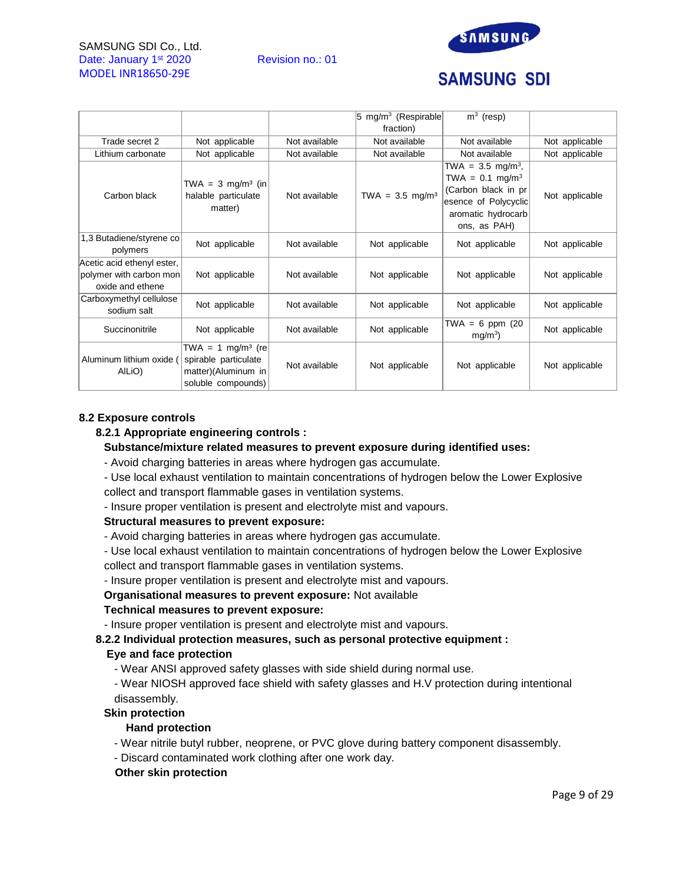### SAMSUNG SDI Co., Ltd. Date: January 1<sup>st</sup> 2020 Revision no.: 01 MODEL INR18650-29E



# **SAMSUNG SDI**

|                                                                           |                                                                                                    |               | $5 \text{ mg/m}^3$ (Respirable) | $\overline{m}^3$ (resp)                                                                                                                         |                |
|---------------------------------------------------------------------------|----------------------------------------------------------------------------------------------------|---------------|---------------------------------|-------------------------------------------------------------------------------------------------------------------------------------------------|----------------|
|                                                                           |                                                                                                    |               | fraction)                       |                                                                                                                                                 |                |
| Trade secret 2                                                            | Not applicable                                                                                     | Not available | Not available                   | Not available                                                                                                                                   | Not applicable |
| Lithium carbonate                                                         | Not applicable                                                                                     | Not available | Not available                   | Not available                                                                                                                                   | Not applicable |
| Carbon black                                                              | TWA = $3 \text{ mg/m}^3$ (in<br>halable particulate<br>matter)                                     | Not available | $TWA = 3.5 mg/m3$               | TWA = $3.5 \text{ mg/m}^3$ ,<br>TWA = $0.1 \text{ mg/m}^3$<br>(Carbon black in pr<br>esence of Polycyclic<br>aromatic hydrocarb<br>ons, as PAH) | Not applicable |
| 1,3 Butadiene/styrene co<br>polymers                                      | Not applicable                                                                                     | Not available | Not applicable                  | Not applicable                                                                                                                                  | Not applicable |
| Acetic acid ethenyl ester,<br>polymer with carbon mon<br>oxide and ethene | Not applicable                                                                                     | Not available | Not applicable                  | Not applicable                                                                                                                                  | Not applicable |
| Carboxymethyl cellulose<br>sodium salt                                    | Not applicable                                                                                     | Not available | Not applicable                  | Not applicable                                                                                                                                  | Not applicable |
| Succinonitrile                                                            | Not applicable                                                                                     | Not available | Not applicable                  | TWA = 6 ppm $(20$<br>mg/m <sup>3</sup>                                                                                                          | Not applicable |
| Aluminum lithium oxide (<br>AILIO)                                        | TWA = 1 mg/m <sup>3</sup> (re<br>spirable particulate<br>matter)(Aluminum in<br>soluble compounds) | Not available | Not applicable                  | Not applicable                                                                                                                                  | Not applicable |

### **8.2 Exposure controls**

### **8.2.1 Appropriate engineering controls :**

### **Substance/mixture related measures to prevent exposure during identified uses:**

- Avoid charging batteries in areas where hydrogen gas accumulate.

- Use local exhaust ventilation to maintain concentrations of hydrogen below the Lower Explosive collect and transport flammable gases in ventilation systems.

- Insure proper ventilation is present and electrolyte mist and vapours.

#### **Structural measures to prevent exposure:**

- Avoid charging batteries in areas where hydrogen gas accumulate.
- Use local exhaust ventilation to maintain concentrations of hydrogen below the Lower Explosive collect and transport flammable gases in ventilation systems.
- Insure proper ventilation is present and electrolyte mist and vapours.

**Organisational measures to prevent exposure:** Not available

#### **Technical measures to prevent exposure:**

- Insure proper ventilation is present and electrolyte mist and vapours.

# **8.2.2 Individual protection measures, such as personal protective equipment :**

# **Eye and face protection**

- Wear ANSI approved safety glasses with side shield during normal use.

- Wear NIOSH approved face shield with safety glasses and H.V protection during intentional disassembly.

#### **Skin protection**

#### **Hand protection**

- Wear nitrile butyl rubber, neoprene, or PVC glove during battery component disassembly.
- Discard contaminated work clothing after one work day.

#### **Other skin protection**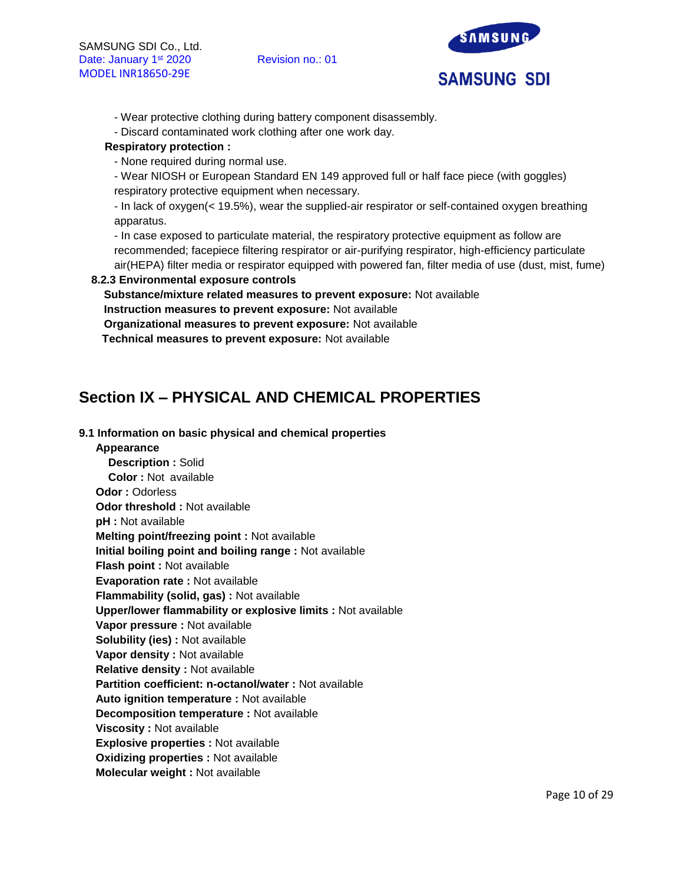

- Wear protective clothing during battery component disassembly.
- Discard contaminated work clothing after one work day.

# **Respiratory protection :**

- None required during normal use.

- Wear NIOSH or European Standard EN 149 approved full or half face piece (with goggles) respiratory protective equipment when necessary.

- In lack of oxygen(< 19.5%), wear the supplied-air respirator or self-contained oxygen breathing apparatus.

- In case exposed to particulate material, the respiratory protective equipment as follow are recommended; facepiece filtering respirator or air-purifying respirator, high-efficiency particulate air(HEPA) filter media or respirator equipped with powered fan, filter media of use (dust, mist, fume)

# **8.2.3 Environmental exposure controls**

**Substance/mixture related measures to prevent exposure:** Not available **Instruction measures to prevent exposure:** Not available

**Organizational measures to prevent exposure:** Not available

**Technical measures to prevent exposure:** Not available

# **Section IX – PHYSICAL AND CHEMICAL PROPERTIES**

### **9.1 Information on basic physical and chemical properties**

**Appearance Description :** Solid **Color :** Not available **Odor :** Odorless **Odor threshold :** Not available **pH :** Not available **Melting point/freezing point :** Not available **Initial boiling point and boiling range :** Not available **Flash point :** Not available **Evaporation rate :** Not available **Flammability (solid, gas) :** Not available **Upper/lower flammability or explosive limits :** Not available **Vapor pressure :** Not available **Solubility (ies) :** Not available **Vapor density :** Not available **Relative density :** Not available **Partition coefficient: n-octanol/water :** Not available **Auto ignition temperature :** Not available **Decomposition temperature :** Not available **Viscosity :** Not available **Explosive properties :** Not available **Oxidizing properties :** Not available **Molecular weight :** Not available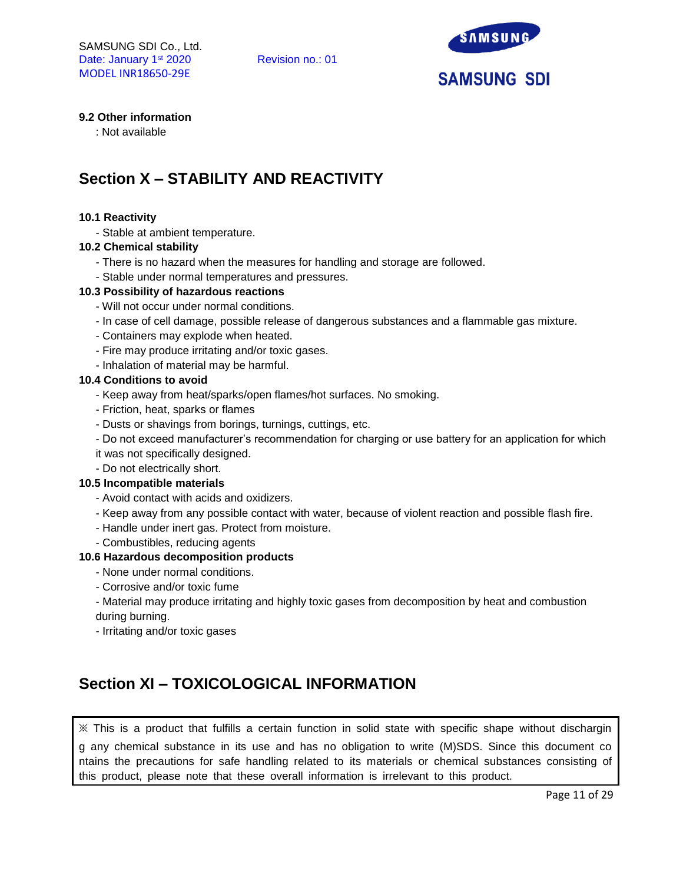

# **9.2 Other information**

: Not available

# **Section X – STABILITY AND REACTIVITY**

#### **10.1 Reactivity**

- Stable at ambient temperature.

#### **10.2 Chemical stability**

- There is no hazard when the measures for handling and storage are followed.
- Stable under normal temperatures and pressures.

#### **10.3 Possibility of hazardous reactions**

- Will not occur under normal conditions.
- In case of cell damage, possible release of dangerous substances and a flammable gas mixture.
- Containers may explode when heated.
- Fire may produce irritating and/or toxic gases.
- Inhalation of material may be harmful.

#### **10.4 Conditions to avoid**

- Keep away from heat/sparks/open flames/hot surfaces. No smoking.
- Friction, heat, sparks or flames
- Dusts or shavings from borings, turnings, cuttings, etc.
- Do not exceed manufacturer's recommendation for charging or use battery for an application for which
- it was not specifically designed.
- Do not electrically short.

#### **10.5 Incompatible materials**

- Avoid contact with acids and oxidizers.
- Keep away from any possible contact with water, because of violent reaction and possible flash fire.
- Handle under inert gas. Protect from moisture.
- Combustibles, reducing agents

#### **10.6 Hazardous decomposition products**

- None under normal conditions.
- Corrosive and/or toxic fume

- Material may produce irritating and highly toxic gases from decomposition by heat and combustion during burning.

- Irritating and/or toxic gases

# **Section XI – TOXICOLOGICAL INFORMATION**

※ This is a product that fulfills a certain function in solid state with specific shape without dischargin g any chemical substance in its use and has no obligation to write (M)SDS. Since this document co ntains the precautions for safe handling related to its materials or chemical substances consisting of this product, please note that these overall information is irrelevant to this product.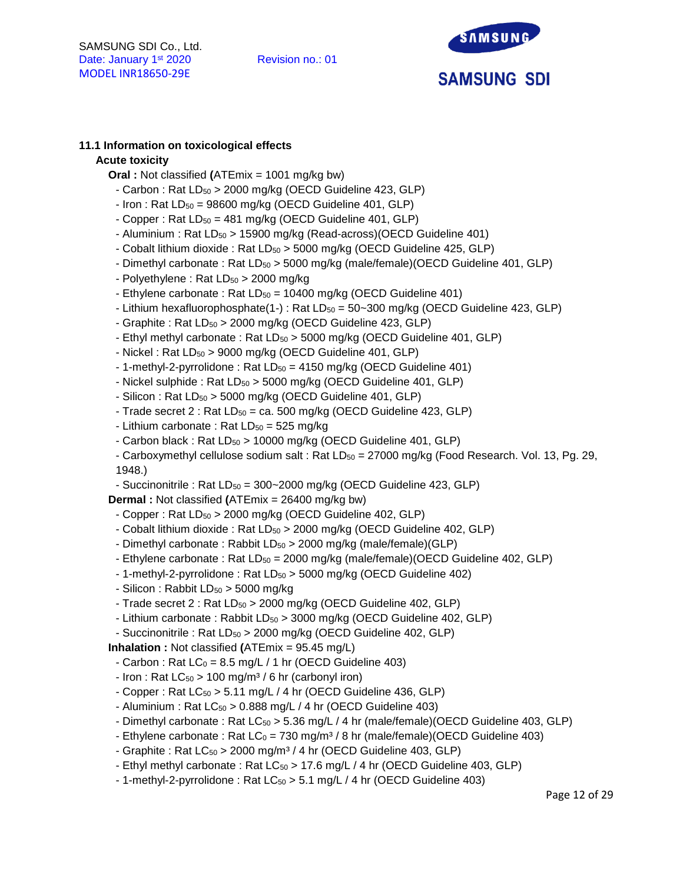

# **11.1 Information on toxicological effects**

### **Acute toxicity**

- **Oral :** Not classified **(**ATEmix = 1001 mg/kg bw)
	- Carbon : Rat LD<sub>50</sub> > 2000 mg/kg (OECD Guideline 423, GLP)
- $-$  Iron : Rat  $LD_{50} = 98600$  mg/kg (OECD Guideline 401, GLP)
- Copper : Rat  $LD_{50} = 481$  mg/kg (OECD Guideline 401, GLP)
- Aluminium : Rat LD<sub>50</sub> > 15900 mg/kg (Read-across)(OECD Guideline 401)
- Cobalt lithium dioxide : Rat LD<sub>50</sub> > 5000 mg/kg (OECD Guideline 425, GLP)
- Dimethyl carbonate : Rat LD<sub>50</sub> > 5000 mg/kg (male/female)(OECD Guideline 401, GLP)
- Polyethylene: Rat  $LD_{50} > 2000$  mg/kg
- Ethylene carbonate : Rat  $LD_{50} = 10400$  mg/kg (OECD Guideline 401)
- Lithium hexafluorophosphate(1-) : Rat  $LD_{50} = 50 300$  mg/kg (OECD Guideline 423, GLP)
- Graphite : Rat LD<sub>50</sub> > 2000 mg/kg (OECD Guideline 423, GLP)
- Ethyl methyl carbonate : Rat LD<sub>50</sub> > 5000 mg/kg (OECD Guideline 401, GLP)
- $-$  Nickel : Rat LD $_{50}$  > 9000 mg/kg (OECD Guideline 401, GLP)
- 1-methyl-2-pyrrolidone : Rat LD<sub>50</sub> = 4150 mg/kg (OECD Guideline 401)
- Nickel sulphide : Rat  $LD_{50} > 5000$  mg/kg (OECD Guideline 401, GLP)
- $-$  Silicon : Rat LD $_{50}$  > 5000 mg/kg (OECD Guideline 401, GLP)
- Trade secret  $2:$  Rat  $LD_{50} =$  ca. 500 mg/kg (OECD Guideline 423, GLP)
- Lithium carbonate : Rat  $LD_{50} = 525$  mg/kg
- Carbon black : Rat  $LD_{50}$  > 10000 mg/kg (OECD Guideline 401, GLP)
- Carboxymethyl cellulose sodium salt : Rat  $LD_{50} = 27000$  mg/kg (Food Research. Vol. 13, Pg. 29, 1948.)
- Succinonitrile : Rat  $LD_{50} = 300 2000$  mg/kg (OECD Guideline 423, GLP)

**Dermal :** Not classified **(**ATEmix = 26400 mg/kg bw)

- Copper : Rat LD<sub>50</sub> > 2000 mg/kg (OECD Guideline 402, GLP)
- Cobalt lithium dioxide : Rat LD<sub>50</sub> > 2000 mg/kg (OECD Guideline 402, GLP)
- Dimethyl carbonate: Rabbit  $LD_{50} > 2000$  mg/kg (male/female)(GLP)
- Ethylene carbonate : Rat LD<sub>50</sub> = 2000 mg/kg (male/female)(OECD Guideline 402, GLP)
- $-$  1-methyl-2-pyrrolidone : Rat LD $_{50}$  > 5000 mg/kg (OECD Guideline 402)
- Silicon : Rabbit  $LD_{50} > 5000$  mg/kg
- Trade secret  $2:$  Rat  $LD_{50} > 2000$  mg/kg (OECD Guideline 402, GLP)
- Lithium carbonate : Rabbit LD<sub>50</sub> > 3000 mg/kg (OECD Guideline 402, GLP)
- Succinonitrile : Rat LD<sub>50</sub> > 2000 mg/kg (OECD Guideline 402, GLP)

**Inhalation :** Not classified **(**ATEmix = 95.45 mg/L)

- Carbon : Rat  $LC_0 = 8.5$  mg/L / 1 hr (OECD Guideline 403)
- Iron : Rat  $LC_{50}$  > 100 mg/m<sup>3</sup> / 6 hr (carbonyl iron)
- Copper : Rat  $LC_{50}$  > 5.11 mg/L / 4 hr (OECD Guideline 436, GLP)
- Aluminium : Rat  $LC_{50}$  > 0.888 mg/L / 4 hr (OECD Guideline 403)
- Dimethyl carbonate : Rat LC<sub>50</sub> > 5.36 mg/L / 4 hr (male/female)(OECD Guideline 403, GLP)
- Ethylene carbonate : Rat  $LC_0 = 730$  mg/m<sup>3</sup> / 8 hr (male/female)(OECD Guideline 403)
- Graphite : Rat  $LC_{50} > 2000$  mg/m<sup>3</sup> / 4 hr (OECD Guideline 403, GLP)
- Ethyl methyl carbonate : Rat LC<sub>50</sub> > 17.6 mg/L / 4 hr (OECD Guideline 403, GLP)
- 1-methyl-2-pyrrolidone : Rat  $LC_{50} > 5.1$  mg/L / 4 hr (OECD Guideline 403)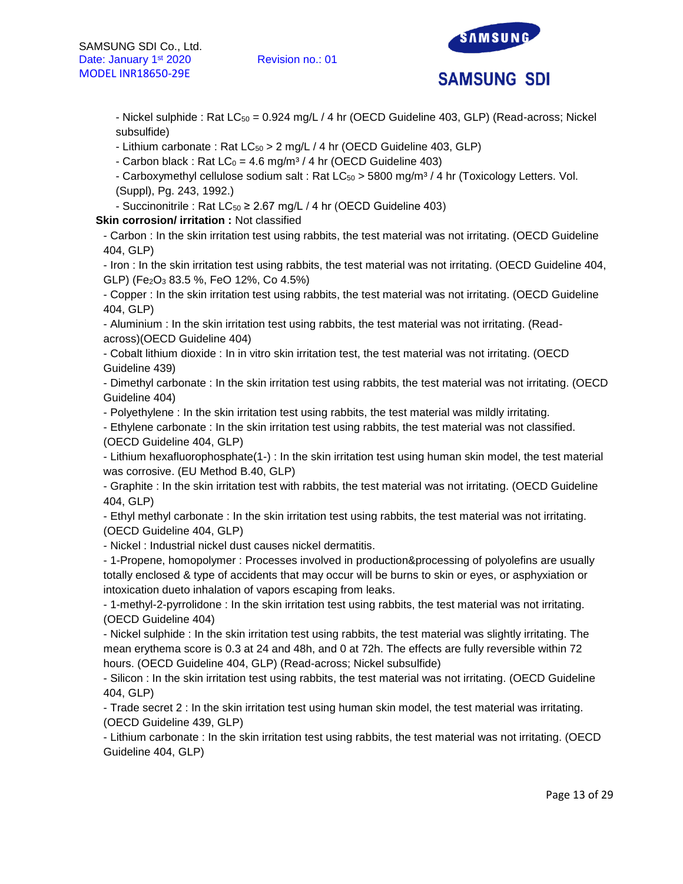

- Nickel sulphide : Rat  $LC_{50} = 0.924$  mg/L / 4 hr (OECD Guideline 403, GLP) (Read-across; Nickel subsulfide)

- Lithium carbonate : Rat  $LC_{50} > 2$  mg/L / 4 hr (OECD Guideline 403, GLP)

- Carbon black : Rat  $LC_0 = 4.6$  mg/m<sup>3</sup> / 4 hr (OECD Guideline 403)

- Carboxymethyl cellulose sodium salt : Rat  $LC_{50} > 5800$  mg/m<sup>3</sup> / 4 hr (Toxicology Letters. Vol. (Suppl), Pg. 243, 1992.)

- Succinonitrile : Rat  $LC_{50} \geq 2.67$  mg/L / 4 hr (OECD Guideline 403)

**Skin corrosion/ irritation :** Not classified

- Carbon : In the skin irritation test using rabbits, the test material was not irritating. (OECD Guideline 404, GLP)

- Iron : In the skin irritation test using rabbits, the test material was not irritating. (OECD Guideline 404, GLP) (Fe2O<sup>3</sup> 83.5 %, FeO 12%, Co 4.5%)

- Copper : In the skin irritation test using rabbits, the test material was not irritating. (OECD Guideline 404, GLP)

- Aluminium : In the skin irritation test using rabbits, the test material was not irritating. (Readacross)(OECD Guideline 404)

- Cobalt lithium dioxide : In in vitro skin irritation test, the test material was not irritating. (OECD Guideline 439)

- Dimethyl carbonate : In the skin irritation test using rabbits, the test material was not irritating. (OECD Guideline 404)

- Polyethylene : In the skin irritation test using rabbits, the test material was mildly irritating.

- Ethylene carbonate : In the skin irritation test using rabbits, the test material was not classified. (OECD Guideline 404, GLP)

- Lithium hexafluorophosphate(1-) : In the skin irritation test using human skin model, the test material was corrosive. (EU Method B.40, GLP)

- Graphite : In the skin irritation test with rabbits, the test material was not irritating. (OECD Guideline 404, GLP)

- Ethyl methyl carbonate : In the skin irritation test using rabbits, the test material was not irritating. (OECD Guideline 404, GLP)

- Nickel : Industrial nickel dust causes nickel dermatitis.

- 1-Propene, homopolymer : Processes involved in production&processing of polyolefins are usually totally enclosed & type of accidents that may occur will be burns to skin or eyes, or asphyxiation or intoxication dueto inhalation of vapors escaping from leaks.

- 1-methyl-2-pyrrolidone : In the skin irritation test using rabbits, the test material was not irritating. (OECD Guideline 404)

- Nickel sulphide : In the skin irritation test using rabbits, the test material was slightly irritating. The mean erythema score is 0.3 at 24 and 48h, and 0 at 72h. The effects are fully reversible within 72 hours. (OECD Guideline 404, GLP) (Read-across; Nickel subsulfide)

- Silicon : In the skin irritation test using rabbits, the test material was not irritating. (OECD Guideline 404, GLP)

- Trade secret 2 : In the skin irritation test using human skin model, the test material was irritating. (OECD Guideline 439, GLP)

- Lithium carbonate : In the skin irritation test using rabbits, the test material was not irritating. (OECD Guideline 404, GLP)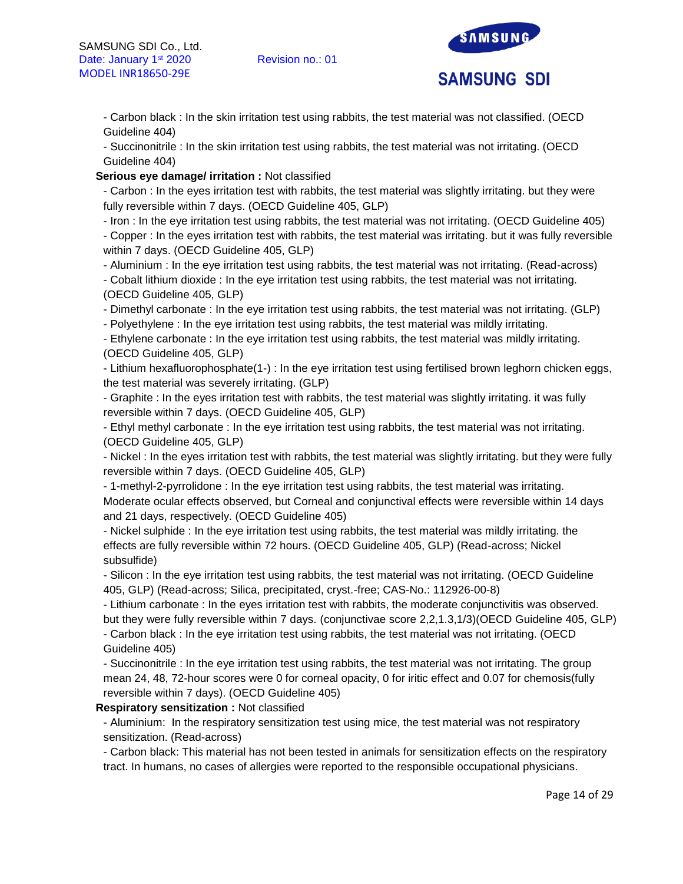

- Carbon black : In the skin irritation test using rabbits, the test material was not classified. (OECD Guideline 404)

- Succinonitrile : In the skin irritation test using rabbits, the test material was not irritating. (OECD Guideline 404)

### **Serious eye damage/ irritation :** Not classified

- Carbon : In the eyes irritation test with rabbits, the test material was slightly irritating. but they were fully reversible within 7 days. (OECD Guideline 405, GLP)

- Iron : In the eye irritation test using rabbits, the test material was not irritating. (OECD Guideline 405)

- Copper : In the eyes irritation test with rabbits, the test material was irritating. but it was fully reversible within 7 days. (OECD Guideline 405, GLP)

- Aluminium : In the eye irritation test using rabbits, the test material was not irritating. (Read-across)

- Cobalt lithium dioxide : In the eye irritation test using rabbits, the test material was not irritating. (OECD Guideline 405, GLP)

- Dimethyl carbonate : In the eye irritation test using rabbits, the test material was not irritating. (GLP)

- Polyethylene : In the eye irritation test using rabbits, the test material was mildly irritating.

- Ethylene carbonate : In the eye irritation test using rabbits, the test material was mildly irritating. (OECD Guideline 405, GLP)

- Lithium hexafluorophosphate(1-) : In the eye irritation test using fertilised brown leghorn chicken eggs, the test material was severely irritating. (GLP)

- Graphite : In the eyes irritation test with rabbits, the test material was slightly irritating. it was fully reversible within 7 days. (OECD Guideline 405, GLP)

- Ethyl methyl carbonate : In the eye irritation test using rabbits, the test material was not irritating. (OECD Guideline 405, GLP)

- Nickel : In the eyes irritation test with rabbits, the test material was slightly irritating. but they were fully reversible within 7 days. (OECD Guideline 405, GLP)

- 1-methyl-2-pyrrolidone : In the eye irritation test using rabbits, the test material was irritating. Moderate ocular effects observed, but Corneal and conjunctival effects were reversible within 14 days and 21 days, respectively. (OECD Guideline 405)

- Nickel sulphide : In the eye irritation test using rabbits, the test material was mildly irritating. the effects are fully reversible within 72 hours. (OECD Guideline 405, GLP) (Read-across; Nickel subsulfide)

- Silicon : In the eye irritation test using rabbits, the test material was not irritating. (OECD Guideline 405, GLP) (Read-across; Silica, precipitated, cryst.-free; CAS-No.: 112926-00-8)

- Lithium carbonate : In the eyes irritation test with rabbits, the moderate conjunctivitis was observed. but they were fully reversible within 7 days. (conjunctivae score 2,2,1.3,1/3)(OECD Guideline 405, GLP)

- Carbon black : In the eye irritation test using rabbits, the test material was not irritating. (OECD Guideline 405)

- Succinonitrile : In the eye irritation test using rabbits, the test material was not irritating. The group mean 24, 48, 72-hour scores were 0 for corneal opacity, 0 for iritic effect and 0.07 for chemosis(fully reversible within 7 days). (OECD Guideline 405)

# **Respiratory sensitization :** Not classified

- Aluminium: In the respiratory sensitization test using mice, the test material was not respiratory sensitization. (Read-across)

- Carbon black: This material has not been tested in animals for sensitization effects on the respiratory tract. In humans, no cases of allergies were reported to the responsible occupational physicians.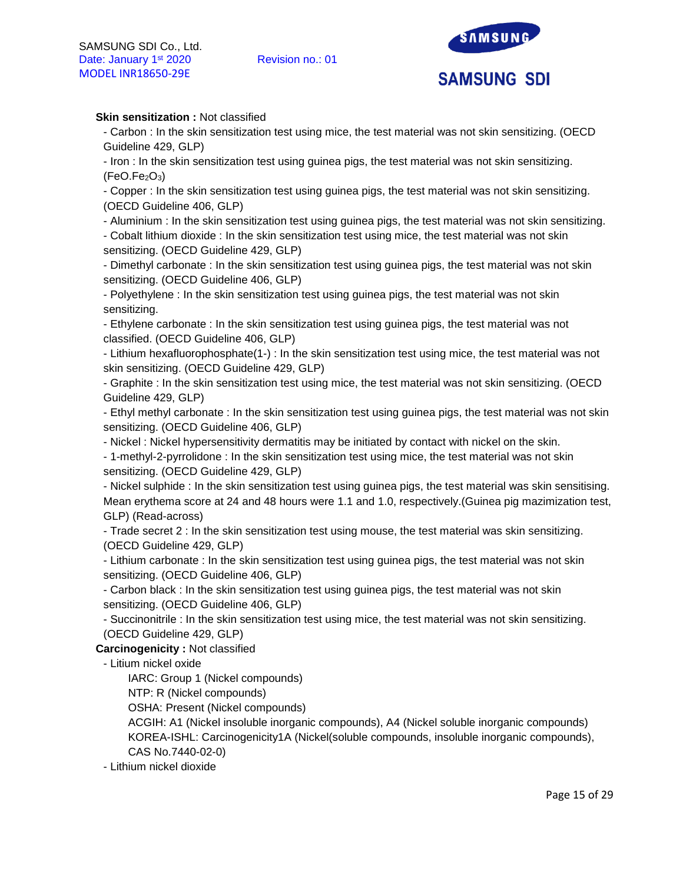

# **Skin sensitization : Not classified**

- Carbon : In the skin sensitization test using mice, the test material was not skin sensitizing. (OECD Guideline 429, GLP)

- Iron : In the skin sensitization test using guinea pigs, the test material was not skin sensitizing.  $(FeO.Fe<sub>2</sub>O<sub>3</sub>)$ 

- Copper : In the skin sensitization test using guinea pigs, the test material was not skin sensitizing. (OECD Guideline 406, GLP)

- Aluminium : In the skin sensitization test using guinea pigs, the test material was not skin sensitizing.

- Cobalt lithium dioxide : In the skin sensitization test using mice, the test material was not skin sensitizing. (OECD Guideline 429, GLP)

- Dimethyl carbonate : In the skin sensitization test using guinea pigs, the test material was not skin sensitizing. (OECD Guideline 406, GLP)

- Polyethylene : In the skin sensitization test using guinea pigs, the test material was not skin sensitizing.

- Ethylene carbonate : In the skin sensitization test using guinea pigs, the test material was not classified. (OECD Guideline 406, GLP)

- Lithium hexafluorophosphate(1-) : In the skin sensitization test using mice, the test material was not skin sensitizing. (OECD Guideline 429, GLP)

- Graphite : In the skin sensitization test using mice, the test material was not skin sensitizing. (OECD Guideline 429, GLP)

- Ethyl methyl carbonate : In the skin sensitization test using guinea pigs, the test material was not skin sensitizing. (OECD Guideline 406, GLP)

- Nickel : Nickel hypersensitivity dermatitis may be initiated by contact with nickel on the skin.

- 1-methyl-2-pyrrolidone : In the skin sensitization test using mice, the test material was not skin sensitizing. (OECD Guideline 429, GLP)

- Nickel sulphide : In the skin sensitization test using guinea pigs, the test material was skin sensitising. Mean erythema score at 24 and 48 hours were 1.1 and 1.0, respectively.(Guinea pig mazimization test, GLP) (Read-across)

- Trade secret 2 : In the skin sensitization test using mouse, the test material was skin sensitizing. (OECD Guideline 429, GLP)

- Lithium carbonate : In the skin sensitization test using guinea pigs, the test material was not skin sensitizing. (OECD Guideline 406, GLP)

- Carbon black : In the skin sensitization test using guinea pigs, the test material was not skin sensitizing. (OECD Guideline 406, GLP)

- Succinonitrile : In the skin sensitization test using mice, the test material was not skin sensitizing. (OECD Guideline 429, GLP)

**Carcinogenicity :** Not classified

- Litium nickel oxide

IARC: Group 1 (Nickel compounds)

NTP: R (Nickel compounds)

OSHA: Present (Nickel compounds)

ACGIH: A1 (Nickel insoluble inorganic compounds), A4 (Nickel soluble inorganic compounds) KOREA-ISHL: Carcinogenicity1A (Nickel(soluble compounds, insoluble inorganic compounds), CAS No.7440-02-0)

- Lithium nickel dioxide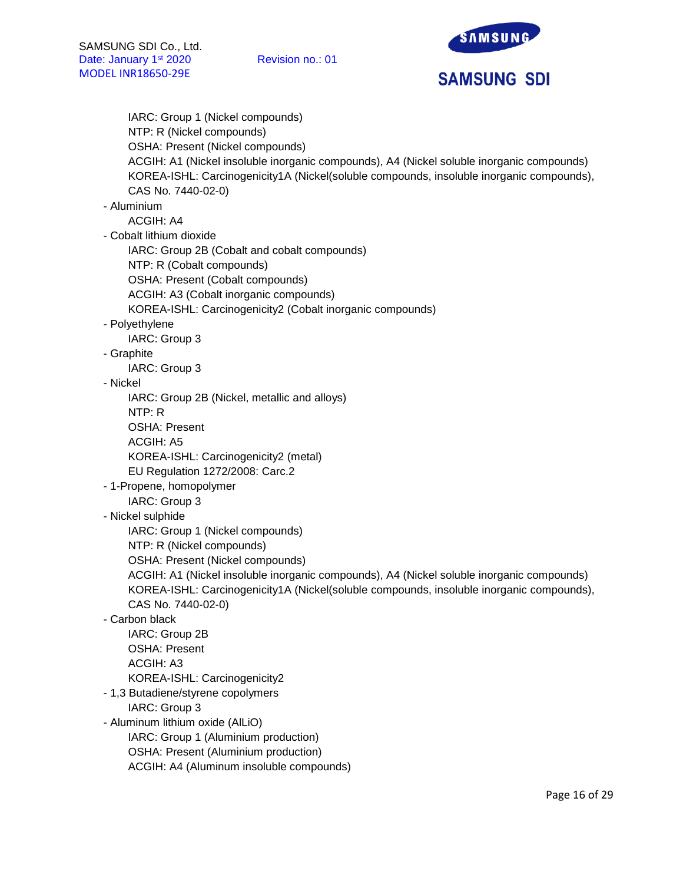SAMSUNG **SAMSUNG SDI** 

IARC: Group 1 (Nickel compounds) NTP: R (Nickel compounds) OSHA: Present (Nickel compounds) ACGIH: A1 (Nickel insoluble inorganic compounds), A4 (Nickel soluble inorganic compounds) KOREA-ISHL: Carcinogenicity1A (Nickel(soluble compounds, insoluble inorganic compounds), CAS No. 7440-02-0) - Aluminium ACGIH: A4 - Cobalt lithium dioxide IARC: Group 2B (Cobalt and cobalt compounds) NTP: R (Cobalt compounds) OSHA: Present (Cobalt compounds) ACGIH: A3 (Cobalt inorganic compounds) KOREA-ISHL: Carcinogenicity2 (Cobalt inorganic compounds) - Polyethylene IARC: Group 3 - Graphite IARC: Group 3 - Nickel IARC: Group 2B (Nickel, metallic and alloys) NTP: R OSHA: Present ACGIH: A5 KOREA-ISHL: Carcinogenicity2 (metal) EU Regulation 1272/2008: Carc.2 - 1-Propene, homopolymer IARC: Group 3 - Nickel sulphide IARC: Group 1 (Nickel compounds) NTP: R (Nickel compounds) OSHA: Present (Nickel compounds) ACGIH: A1 (Nickel insoluble inorganic compounds), A4 (Nickel soluble inorganic compounds) KOREA-ISHL: Carcinogenicity1A (Nickel(soluble compounds, insoluble inorganic compounds), CAS No. 7440-02-0) - Carbon black IARC: Group 2B OSHA: Present ACGIH: A3 KOREA-ISHL: Carcinogenicity2 - 1,3 Butadiene/styrene copolymers IARC: Group 3 - Aluminum lithium oxide (AlLiO) IARC: Group 1 (Aluminium production) OSHA: Present (Aluminium production)

ACGIH: A4 (Aluminum insoluble compounds)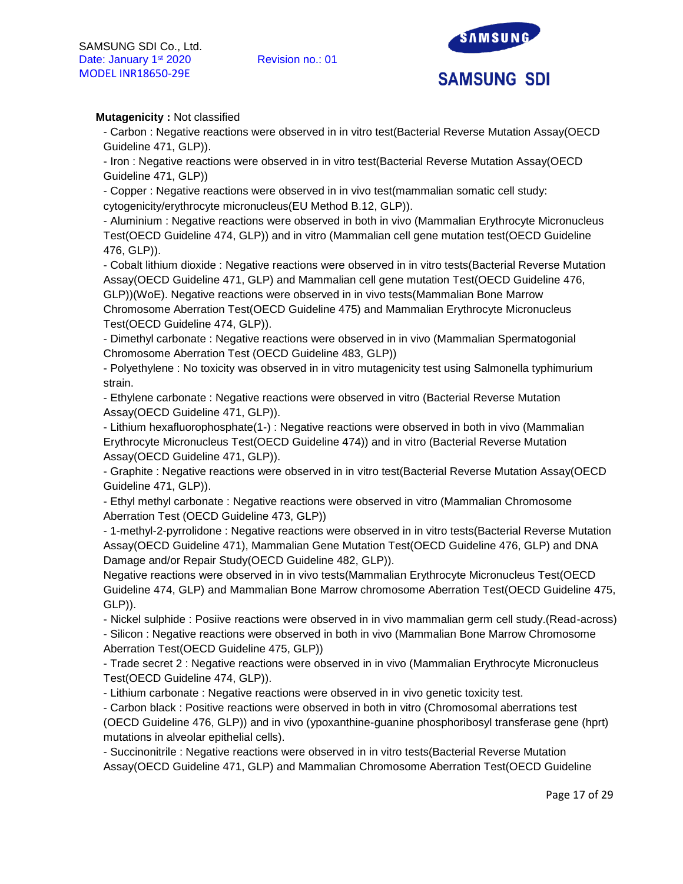

# **Mutagenicity :** Not classified

- Carbon : Negative reactions were observed in in vitro test(Bacterial Reverse Mutation Assay(OECD Guideline 471, GLP)).

- Iron : Negative reactions were observed in in vitro test(Bacterial Reverse Mutation Assay(OECD Guideline 471, GLP))

- Copper : Negative reactions were observed in in vivo test(mammalian somatic cell study: cytogenicity/erythrocyte micronucleus(EU Method B.12, GLP)).

- Aluminium : Negative reactions were observed in both in vivo (Mammalian Erythrocyte Micronucleus Test(OECD Guideline 474, GLP)) and in vitro (Mammalian cell gene mutation test(OECD Guideline 476, GLP)).

- Cobalt lithium dioxide : Negative reactions were observed in in vitro tests(Bacterial Reverse Mutation Assay(OECD Guideline 471, GLP) and Mammalian cell gene mutation Test(OECD Guideline 476, GLP))(WoE). Negative reactions were observed in in vivo tests(Mammalian Bone Marrow Chromosome Aberration Test(OECD Guideline 475) and Mammalian Erythrocyte Micronucleus Test(OECD Guideline 474, GLP)).

- Dimethyl carbonate : Negative reactions were observed in in vivo (Mammalian Spermatogonial Chromosome Aberration Test (OECD Guideline 483, GLP))

- Polyethylene : No toxicity was observed in in vitro mutagenicity test using Salmonella typhimurium strain.

- Ethylene carbonate : Negative reactions were observed in vitro (Bacterial Reverse Mutation Assay(OECD Guideline 471, GLP)).

- Lithium hexafluorophosphate(1-) : Negative reactions were observed in both in vivo (Mammalian Erythrocyte Micronucleus Test(OECD Guideline 474)) and in vitro (Bacterial Reverse Mutation Assay(OECD Guideline 471, GLP)).

- Graphite : Negative reactions were observed in in vitro test(Bacterial Reverse Mutation Assay(OECD Guideline 471, GLP)).

- Ethyl methyl carbonate : Negative reactions were observed in vitro (Mammalian Chromosome Aberration Test (OECD Guideline 473, GLP))

- 1-methyl-2-pyrrolidone : Negative reactions were observed in in vitro tests(Bacterial Reverse Mutation Assay(OECD Guideline 471), Mammalian Gene Mutation Test(OECD Guideline 476, GLP) and DNA Damage and/or Repair Study(OECD Guideline 482, GLP)).

Negative reactions were observed in in vivo tests(Mammalian Erythrocyte Micronucleus Test(OECD Guideline 474, GLP) and Mammalian Bone Marrow chromosome Aberration Test(OECD Guideline 475, GLP)).

- Nickel sulphide : Posiive reactions were observed in in vivo mammalian germ cell study.(Read-across)

- Silicon : Negative reactions were observed in both in vivo (Mammalian Bone Marrow Chromosome Aberration Test(OECD Guideline 475, GLP))

- Trade secret 2 : Negative reactions were observed in in vivo (Mammalian Erythrocyte Micronucleus Test(OECD Guideline 474, GLP)).

- Lithium carbonate : Negative reactions were observed in in vivo genetic toxicity test.

- Carbon black : Positive reactions were observed in both in vitro (Chromosomal aberrations test (OECD Guideline 476, GLP)) and in vivo (ypoxanthine-guanine phosphoribosyl transferase gene (hprt) mutations in alveolar epithelial cells).

- Succinonitrile : Negative reactions were observed in in vitro tests(Bacterial Reverse Mutation Assay(OECD Guideline 471, GLP) and Mammalian Chromosome Aberration Test(OECD Guideline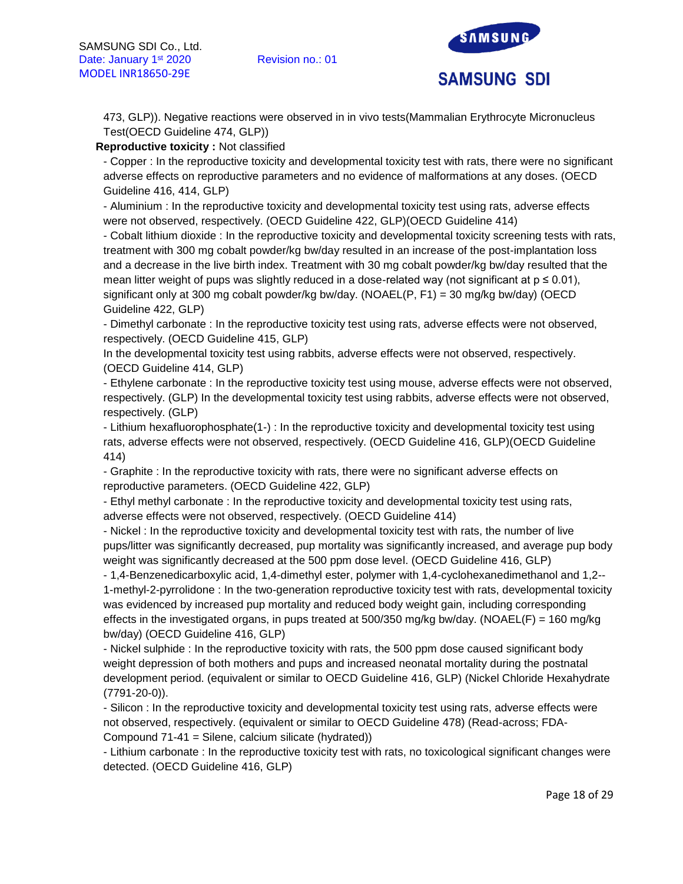

473, GLP)). Negative reactions were observed in in vivo tests(Mammalian Erythrocyte Micronucleus Test(OECD Guideline 474, GLP))

# **Reproductive toxicity :** Not classified

- Copper : In the reproductive toxicity and developmental toxicity test with rats, there were no significant adverse effects on reproductive parameters and no evidence of malformations at any doses. (OECD Guideline 416, 414, GLP)

- Aluminium : In the reproductive toxicity and developmental toxicity test using rats, adverse effects were not observed, respectively. (OECD Guideline 422, GLP)(OECD Guideline 414)

- Cobalt lithium dioxide : In the reproductive toxicity and developmental toxicity screening tests with rats, treatment with 300 mg cobalt powder/kg bw/day resulted in an increase of the post-implantation loss and a decrease in the live birth index. Treatment with 30 mg cobalt powder/kg bw/day resulted that the mean litter weight of pups was slightly reduced in a dose-related way (not significant at  $p \le 0.01$ ), significant only at 300 mg cobalt powder/kg bw/day. (NOAEL(P, F1) = 30 mg/kg bw/day) (OECD Guideline 422, GLP)

- Dimethyl carbonate : In the reproductive toxicity test using rats, adverse effects were not observed, respectively. (OECD Guideline 415, GLP)

In the developmental toxicity test using rabbits, adverse effects were not observed, respectively. (OECD Guideline 414, GLP)

- Ethylene carbonate : In the reproductive toxicity test using mouse, adverse effects were not observed, respectively. (GLP) In the developmental toxicity test using rabbits, adverse effects were not observed, respectively. (GLP)

- Lithium hexafluorophosphate(1-) : In the reproductive toxicity and developmental toxicity test using rats, adverse effects were not observed, respectively. (OECD Guideline 416, GLP)(OECD Guideline 414)

- Graphite : In the reproductive toxicity with rats, there were no significant adverse effects on reproductive parameters. (OECD Guideline 422, GLP)

- Ethyl methyl carbonate : In the reproductive toxicity and developmental toxicity test using rats, adverse effects were not observed, respectively. (OECD Guideline 414)

- Nickel : In the reproductive toxicity and developmental toxicity test with rats, the number of live pups/litter was significantly decreased, pup mortality was significantly increased, and average pup body weight was significantly decreased at the 500 ppm dose level. (OECD Guideline 416, GLP)

- 1,4-Benzenedicarboxylic acid, 1,4-dimethyl ester, polymer with 1,4-cyclohexanedimethanol and 1,2-- 1-methyl-2-pyrrolidone : In the two-generation reproductive toxicity test with rats, developmental toxicity was evidenced by increased pup mortality and reduced body weight gain, including corresponding effects in the investigated organs, in pups treated at 500/350 mg/kg bw/day. (NOAEL(F) = 160 mg/kg bw/day) (OECD Guideline 416, GLP)

- Nickel sulphide : In the reproductive toxicity with rats, the 500 ppm dose caused significant body weight depression of both mothers and pups and increased neonatal mortality during the postnatal development period. (equivalent or similar to OECD Guideline 416, GLP) (Nickel Chloride Hexahydrate (7791-20-0)).

- Silicon : In the reproductive toxicity and developmental toxicity test using rats, adverse effects were not observed, respectively. (equivalent or similar to OECD Guideline 478) (Read-across; FDA-Compound 71-41 = Silene, calcium silicate (hydrated))

- Lithium carbonate : In the reproductive toxicity test with rats, no toxicological significant changes were detected. (OECD Guideline 416, GLP)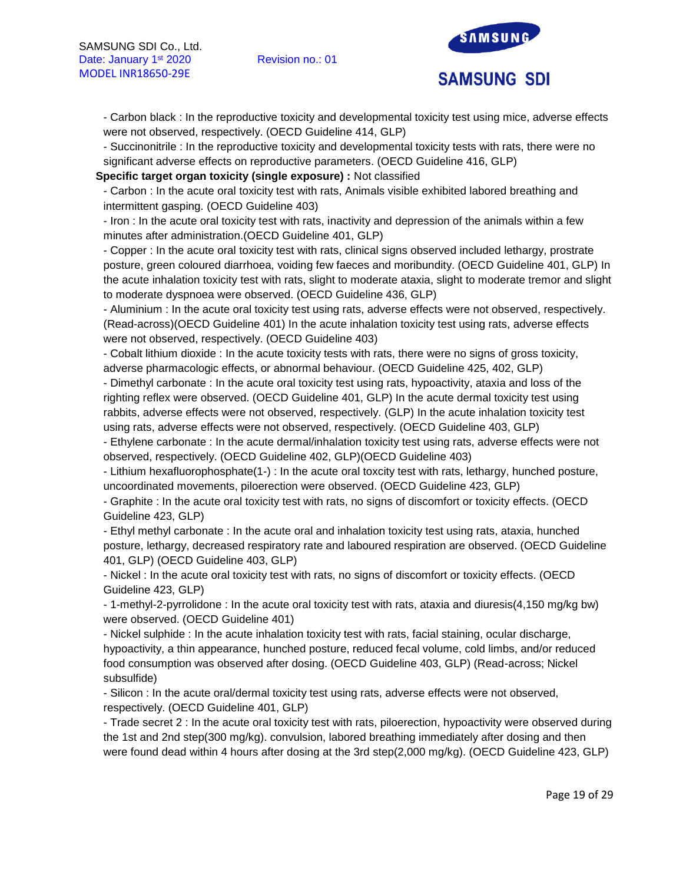

- Carbon black : In the reproductive toxicity and developmental toxicity test using mice, adverse effects were not observed, respectively. (OECD Guideline 414, GLP)

- Succinonitrile : In the reproductive toxicity and developmental toxicity tests with rats, there were no significant adverse effects on reproductive parameters. (OECD Guideline 416, GLP)

**Specific target organ toxicity (single exposure) :** Not classified

- Carbon : In the acute oral toxicity test with rats, Animals visible exhibited labored breathing and intermittent gasping. (OECD Guideline 403)

- Iron : In the acute oral toxicity test with rats, inactivity and depression of the animals within a few minutes after administration.(OECD Guideline 401, GLP)

- Copper : In the acute oral toxicity test with rats, clinical signs observed included lethargy, prostrate posture, green coloured diarrhoea, voiding few faeces and moribundity. (OECD Guideline 401, GLP) In the acute inhalation toxicity test with rats, slight to moderate ataxia, slight to moderate tremor and slight to moderate dyspnoea were observed. (OECD Guideline 436, GLP)

- Aluminium : In the acute oral toxicity test using rats, adverse effects were not observed, respectively. (Read-across)(OECD Guideline 401) In the acute inhalation toxicity test using rats, adverse effects were not observed, respectively. (OECD Guideline 403)

- Cobalt lithium dioxide : In the acute toxicity tests with rats, there were no signs of gross toxicity, adverse pharmacologic effects, or abnormal behaviour. (OECD Guideline 425, 402, GLP)

- Dimethyl carbonate : In the acute oral toxicity test using rats, hypoactivity, ataxia and loss of the righting reflex were observed. (OECD Guideline 401, GLP) In the acute dermal toxicity test using rabbits, adverse effects were not observed, respectively. (GLP) In the acute inhalation toxicity test using rats, adverse effects were not observed, respectively. (OECD Guideline 403, GLP)

- Ethylene carbonate : In the acute dermal/inhalation toxicity test using rats, adverse effects were not observed, respectively. (OECD Guideline 402, GLP)(OECD Guideline 403)

- Lithium hexafluorophosphate(1-) : In the acute oral toxcity test with rats, lethargy, hunched posture, uncoordinated movements, piloerection were observed. (OECD Guideline 423, GLP)

- Graphite : In the acute oral toxicity test with rats, no signs of discomfort or toxicity effects. (OECD Guideline 423, GLP)

- Ethyl methyl carbonate : In the acute oral and inhalation toxicity test using rats, ataxia, hunched posture, lethargy, decreased respiratory rate and laboured respiration are observed. (OECD Guideline 401, GLP) (OECD Guideline 403, GLP)

- Nickel : In the acute oral toxicity test with rats, no signs of discomfort or toxicity effects. (OECD Guideline 423, GLP)

- 1-methyl-2-pyrrolidone : In the acute oral toxicity test with rats, ataxia and diuresis(4,150 mg/kg bw) were observed. (OECD Guideline 401)

- Nickel sulphide : In the acute inhalation toxicity test with rats, facial staining, ocular discharge, hypoactivity, a thin appearance, hunched posture, reduced fecal volume, cold limbs, and/or reduced food consumption was observed after dosing. (OECD Guideline 403, GLP) (Read-across; Nickel subsulfide)

- Silicon : In the acute oral/dermal toxicity test using rats, adverse effects were not observed, respectively. (OECD Guideline 401, GLP)

- Trade secret 2 : In the acute oral toxicity test with rats, piloerection, hypoactivity were observed during the 1st and 2nd step(300 mg/kg). convulsion, labored breathing immediately after dosing and then were found dead within 4 hours after dosing at the 3rd step(2,000 mg/kg). (OECD Guideline 423, GLP)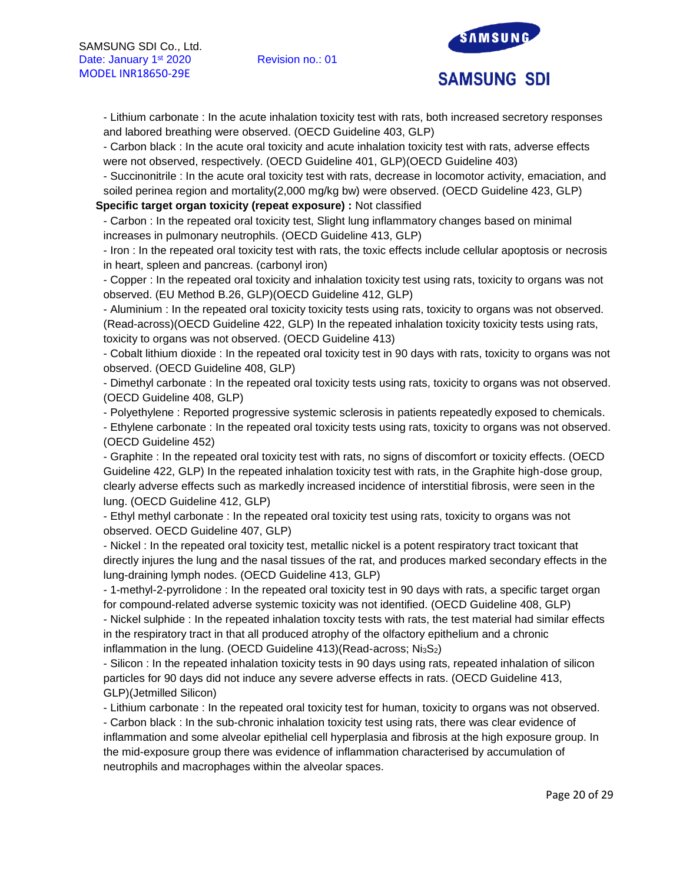

- Lithium carbonate : In the acute inhalation toxicity test with rats, both increased secretory responses and labored breathing were observed. (OECD Guideline 403, GLP)

- Carbon black : In the acute oral toxicity and acute inhalation toxicity test with rats, adverse effects were not observed, respectively. (OECD Guideline 401, GLP)(OECD Guideline 403)

- Succinonitrile : In the acute oral toxicity test with rats, decrease in locomotor activity, emaciation, and soiled perinea region and mortality(2,000 mg/kg bw) were observed. (OECD Guideline 423, GLP)

**Specific target organ toxicity (repeat exposure) :** Not classified

- Carbon : In the repeated oral toxicity test, Slight lung inflammatory changes based on minimal increases in pulmonary neutrophils. (OECD Guideline 413, GLP)

- Iron : In the repeated oral toxicity test with rats, the toxic effects include cellular apoptosis or necrosis in heart, spleen and pancreas. (carbonyl iron)

- Copper : In the repeated oral toxicity and inhalation toxicity test using rats, toxicity to organs was not observed. (EU Method B.26, GLP)(OECD Guideline 412, GLP)

- Aluminium : In the repeated oral toxicity toxicity tests using rats, toxicity to organs was not observed. (Read-across)(OECD Guideline 422, GLP) In the repeated inhalation toxicity toxicity tests using rats, toxicity to organs was not observed. (OECD Guideline 413)

- Cobalt lithium dioxide : In the repeated oral toxicity test in 90 days with rats, toxicity to organs was not observed. (OECD Guideline 408, GLP)

- Dimethyl carbonate : In the repeated oral toxicity tests using rats, toxicity to organs was not observed. (OECD Guideline 408, GLP)

- Polyethylene : Reported progressive systemic sclerosis in patients repeatedly exposed to chemicals.

- Ethylene carbonate : In the repeated oral toxicity tests using rats, toxicity to organs was not observed. (OECD Guideline 452)

- Graphite : In the repeated oral toxicity test with rats, no signs of discomfort or toxicity effects. (OECD Guideline 422, GLP) In the repeated inhalation toxicity test with rats, in the Graphite high-dose group, clearly adverse effects such as markedly increased incidence of interstitial fibrosis, were seen in the lung. (OECD Guideline 412, GLP)

- Ethyl methyl carbonate : In the repeated oral toxicity test using rats, toxicity to organs was not observed. OECD Guideline 407, GLP)

- Nickel : In the repeated oral toxicity test, metallic nickel is a potent respiratory tract toxicant that directly injures the lung and the nasal tissues of the rat, and produces marked secondary effects in the lung-draining lymph nodes. (OECD Guideline 413, GLP)

- 1-methyl-2-pyrrolidone : In the repeated oral toxicity test in 90 days with rats, a specific target organ for compound-related adverse systemic toxicity was not identified. (OECD Guideline 408, GLP) - Nickel sulphide : In the repeated inhalation toxcity tests with rats, the test material had similar effects in the respiratory tract in that all produced atrophy of the olfactory epithelium and a chronic inflammation in the lung. (OECD Guideline  $413$ )(Read-across; Ni $_3S_2$ )

- Silicon : In the repeated inhalation toxicity tests in 90 days using rats, repeated inhalation of silicon particles for 90 days did not induce any severe adverse effects in rats. (OECD Guideline 413, GLP)(Jetmilled Silicon)

- Lithium carbonate : In the repeated oral toxicity test for human, toxicity to organs was not observed.

- Carbon black : In the sub-chronic inhalation toxicity test using rats, there was clear evidence of inflammation and some alveolar epithelial cell hyperplasia and fibrosis at the high exposure group. In the mid-exposure group there was evidence of inflammation characterised by accumulation of neutrophils and macrophages within the alveolar spaces.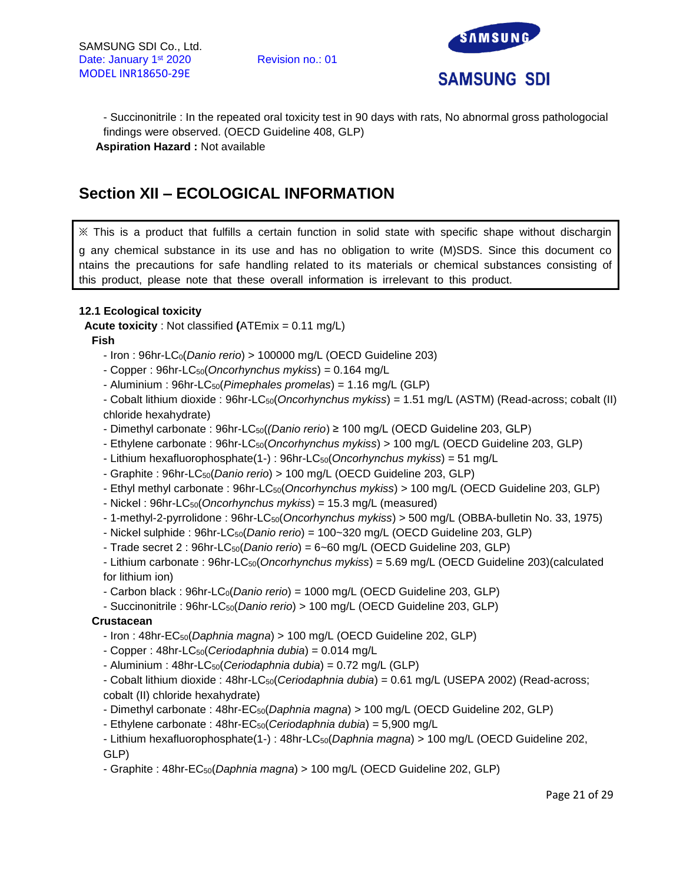

- Succinonitrile : In the repeated oral toxicity test in 90 days with rats, No abnormal gross pathologocial findings were observed. (OECD Guideline 408, GLP) **Aspiration Hazard :** Not available

# **Section XII – ECOLOGICAL INFORMATION**

※ This is a product that fulfills a certain function in solid state with specific shape without dischargin g any chemical substance in its use and has no obligation to write (M)SDS. Since this document co ntains the precautions for safe handling related to its materials or chemical substances consisting of this product, please note that these overall information is irrelevant to this product.

# **12.1 Ecological toxicity**

**Acute toxicity** : Not classified **(**ATEmix = 0.11 mg/L)

**Fish** 

- Iron : 96hr-LC0(*Danio rerio*) > 100000 mg/L (OECD Guideline 203)

- Copper : 96hr-LC50(*Oncorhynchus mykiss*) = 0.164 mg/L

- Aluminium : 96hr-LC50(*Pimephales promelas*) = 1.16 mg/L (GLP)

- Cobalt lithium dioxide : 96hr-LC<sub>50</sub>(*Oncorhynchus mykiss*) = 1.51 mg/L (ASTM) (Read-across; cobalt (II) chloride hexahydrate)

- Dimethyl carbonate : 96hr-LC50(*(Danio rerio*) ≥ 100 mg/L (OECD Guideline 203, GLP)

- Ethylene carbonate : 96hr-LC50(*Oncorhynchus mykiss*) > 100 mg/L (OECD Guideline 203, GLP)
- Lithium hexafluorophosphate(1-) : 96hr-LC50(*Oncorhynchus mykiss*) = 51 mg/L
- Graphite : 96hr-LC50(*Danio rerio*) > 100 mg/L (OECD Guideline 203, GLP)
- Ethyl methyl carbonate : 96hr-LC50(*Oncorhynchus mykiss*) > 100 mg/L (OECD Guideline 203, GLP)
- Nickel : 96hr-LC50(*Oncorhynchus mykiss*) = 15.3 mg/L (measured)
- 1-methyl-2-pyrrolidone : 96hr-LC50(*Oncorhynchus mykiss*) > 500 mg/L (OBBA-bulletin No. 33, 1975)
- Nickel sulphide : 96hr-LC50(*Danio rerio*) = 100~320 mg/L (OECD Guideline 203, GLP)
- Trade secret 2 : 96hr-LC50(*Danio rerio*) = 6~60 mg/L (OECD Guideline 203, GLP)

- Lithium carbonate : 96hr-LC50(*Oncorhynchus mykiss*) = 5.69 mg/L (OECD Guideline 203)(calculated for lithium ion)

- Carbon black : 96hr-LC0(*Danio rerio*) = 1000 mg/L (OECD Guideline 203, GLP)

- Succinonitrile : 96hr-LC50(*Danio rerio*) > 100 mg/L (OECD Guideline 203, GLP)

# **Crustacean**

- Iron : 48hr-EC50(*Daphnia magna*) > 100 mg/L (OECD Guideline 202, GLP)

- Copper : 48hr-LC50(*Ceriodaphnia dubia*) = 0.014 mg/L
- Aluminium : 48hr-LC50(*Ceriodaphnia dubia*) = 0.72 mg/L (GLP)

- Cobalt lithium dioxide : 48hr-LC50(*Ceriodaphnia dubia*) = 0.61 mg/L (USEPA 2002) (Read-across; cobalt (II) chloride hexahydrate)

- Dimethyl carbonate : 48hr-EC50(*Daphnia magna*) > 100 mg/L (OECD Guideline 202, GLP)

- Ethylene carbonate : 48hr-EC50(*Ceriodaphnia dubia*) = 5,900 mg/L

- Lithium hexafluorophosphate(1-) : 48hr-LC50(*Daphnia magna*) > 100 mg/L (OECD Guideline 202, GLP)

- Graphite : 48hr-EC50(*Daphnia magna*) > 100 mg/L (OECD Guideline 202, GLP)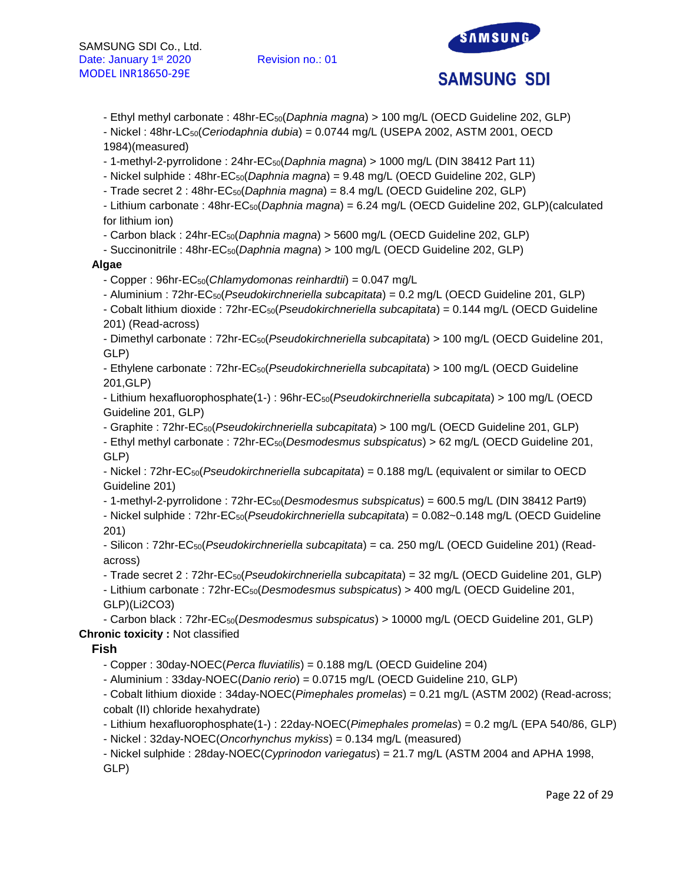

- Ethyl methyl carbonate : 48hr-EC50(*Daphnia magna*) > 100 mg/L (OECD Guideline 202, GLP)

- Nickel : 48hr-LC50(*Ceriodaphnia dubia*) = 0.0744 mg/L (USEPA 2002, ASTM 2001, OECD 1984)(measured)

- 1-methyl-2-pyrrolidone : 24hr-EC50(*Daphnia magna*) > 1000 mg/L (DIN 38412 Part 11)

- Nickel sulphide : 48hr-EC50(*Daphnia magna*) = 9.48 mg/L (OECD Guideline 202, GLP)

- Trade secret 2 : 48hr-EC50(*Daphnia magna*) = 8.4 mg/L (OECD Guideline 202, GLP)

- Lithium carbonate : 48hr-EC50(*Daphnia magna*) = 6.24 mg/L (OECD Guideline 202, GLP)(calculated for lithium ion)

- Carbon black : 24hr-EC50(*Daphnia magna*) > 5600 mg/L (OECD Guideline 202, GLP)

- Succinonitrile : 48hr-EC50(*Daphnia magna*) > 100 mg/L (OECD Guideline 202, GLP)

# **Algae**

- Copper : 96hr-EC50(*Chlamydomonas reinhardtii*) = 0.047 mg/L

- Aluminium : 72hr-EC50(*Pseudokirchneriella subcapitata*) = 0.2 mg/L (OECD Guideline 201, GLP)

- Cobalt lithium dioxide : 72hr-EC50(*Pseudokirchneriella subcapitata*) = 0.144 mg/L (OECD Guideline 201) (Read-across)

- Dimethyl carbonate : 72hr-EC50(*Pseudokirchneriella subcapitata*) > 100 mg/L (OECD Guideline 201, GLP)

- Ethylene carbonate : 72hr-EC50(*Pseudokirchneriella subcapitata*) > 100 mg/L (OECD Guideline 201,GLP)

- Lithium hexafluorophosphate(1-) : 96hr-EC50(*Pseudokirchneriella subcapitata*) > 100 mg/L (OECD Guideline 201, GLP)

- Graphite : 72hr-EC50(*Pseudokirchneriella subcapitata*) > 100 mg/L (OECD Guideline 201, GLP) - Ethyl methyl carbonate : 72hr-EC50(*Desmodesmus subspicatus*) > 62 mg/L (OECD Guideline 201,

GLP)

- Nickel : 72hr-EC50(*Pseudokirchneriella subcapitata*) = 0.188 mg/L (equivalent or similar to OECD Guideline 201)

- 1-methyl-2-pyrrolidone : 72hr-EC50(*Desmodesmus subspicatus*) = 600.5 mg/L (DIN 38412 Part9)

- Nickel sulphide : 72hr-EC50(*Pseudokirchneriella subcapitata*) = 0.082~0.148 mg/L (OECD Guideline 201)

- Silicon : 72hr-EC50(*Pseudokirchneriella subcapitata*) = ca. 250 mg/L (OECD Guideline 201) (Readacross)

- Trade secret 2 : 72hr-EC50(*Pseudokirchneriella subcapitata*) = 32 mg/L (OECD Guideline 201, GLP) - Lithium carbonate : 72hr-EC50(*Desmodesmus subspicatus*) > 400 mg/L (OECD Guideline 201, GLP)(Li2CO3)

- Carbon black : 72hr-EC50(*Desmodesmus subspicatus*) > 10000 mg/L (OECD Guideline 201, GLP) **Chronic toxicity :** Not classified

# **Fish**

- Copper : 30day-NOEC(*Perca fluviatilis*) = 0.188 mg/L (OECD Guideline 204)

- Aluminium : 33day-NOEC(*Danio rerio*) = 0.0715 mg/L (OECD Guideline 210, GLP)

- Cobalt lithium dioxide : 34day-NOEC(*Pimephales promelas*) = 0.21 mg/L (ASTM 2002) (Read-across; cobalt (II) chloride hexahydrate)

- Lithium hexafluorophosphate(1-) : 22day-NOEC(*Pimephales promelas*) = 0.2 mg/L (EPA 540/86, GLP)

- Nickel : 32day-NOEC(*Oncorhynchus mykiss*) = 0.134 mg/L (measured)

- Nickel sulphide : 28day-NOEC(*Cyprinodon variegatus*) = 21.7 mg/L (ASTM 2004 and APHA 1998, GLP)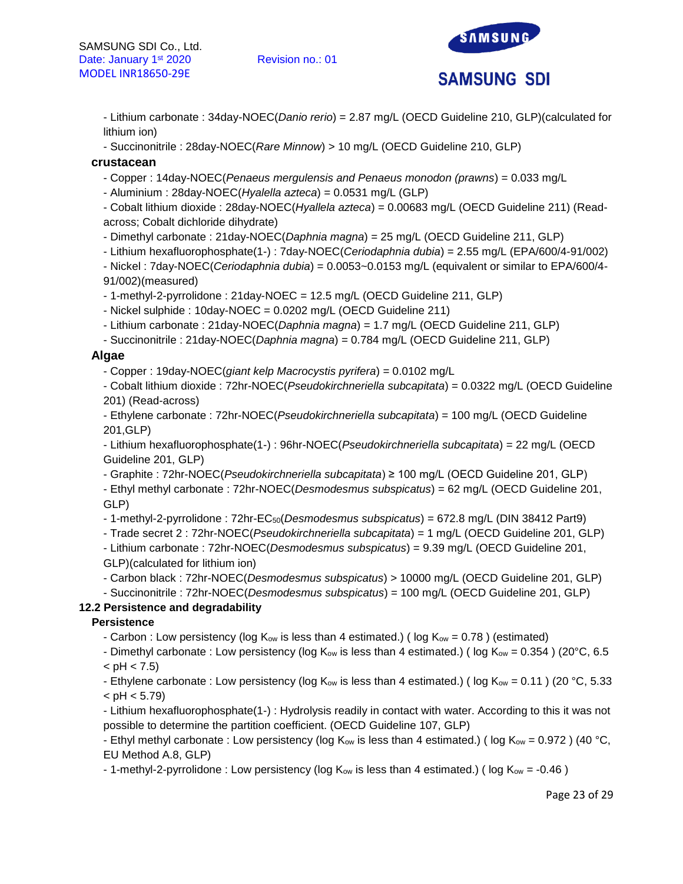

- Lithium carbonate : 34day-NOEC(*Danio rerio*) = 2.87 mg/L (OECD Guideline 210, GLP)(calculated for lithium ion)

- Succinonitrile : 28day-NOEC(*Rare Minnow*) > 10 mg/L (OECD Guideline 210, GLP)

### **crustacean**

- Copper : 14day-NOEC(*Penaeus mergulensis and Penaeus monodon (prawns*) = 0.033 mg/L
- Aluminium : 28day-NOEC(*Hyalella azteca*) = 0.0531 mg/L (GLP)

- Cobalt lithium dioxide : 28day-NOEC(*Hyallela azteca*) = 0.00683 mg/L (OECD Guideline 211) (Readacross; Cobalt dichloride dihydrate)

- Dimethyl carbonate : 21day-NOEC(*Daphnia magna*) = 25 mg/L (OECD Guideline 211, GLP)

- Lithium hexafluorophosphate(1-) : 7day-NOEC(*Ceriodaphnia dubia*) = 2.55 mg/L (EPA/600/4-91/002)

- Nickel : 7day-NOEC(*Ceriodaphnia dubia*) = 0.0053~0.0153 mg/L (equivalent or similar to EPA/600/4- 91/002)(measured)

- 1-methyl-2-pyrrolidone : 21day-NOEC = 12.5 mg/L (OECD Guideline 211, GLP)

- Nickel sulphide : 10day-NOEC = 0.0202 mg/L (OECD Guideline 211)

- Lithium carbonate : 21day-NOEC(*Daphnia magna*) = 1.7 mg/L (OECD Guideline 211, GLP)

- Succinonitrile : 21day-NOEC(*Daphnia magna*) = 0.784 mg/L (OECD Guideline 211, GLP)

### **Algae**

- Copper : 19day-NOEC(*giant kelp Macrocystis pyrifera*) = 0.0102 mg/L

- Cobalt lithium dioxide : 72hr-NOEC(*Pseudokirchneriella subcapitata*) = 0.0322 mg/L (OECD Guideline 201) (Read-across)

- Ethylene carbonate : 72hr-NOEC(*Pseudokirchneriella subcapitata*) = 100 mg/L (OECD Guideline 201,GLP)

- Lithium hexafluorophosphate(1-) : 96hr-NOEC(*Pseudokirchneriella subcapitata*) = 22 mg/L (OECD Guideline 201, GLP)

- Graphite : 72hr-NOEC(*Pseudokirchneriella subcapitata*) ≥ 100 mg/L (OECD Guideline 201, GLP)

- Ethyl methyl carbonate : 72hr-NOEC(*Desmodesmus subspicatus*) = 62 mg/L (OECD Guideline 201, GLP)

- 1-methyl-2-pyrrolidone : 72hr-EC50(*Desmodesmus subspicatus*) = 672.8 mg/L (DIN 38412 Part9)

- Trade secret 2 : 72hr-NOEC(*Pseudokirchneriella subcapitata*) = 1 mg/L (OECD Guideline 201, GLP)

- Lithium carbonate : 72hr-NOEC(*Desmodesmus subspicatus*) = 9.39 mg/L (OECD Guideline 201, GLP)(calculated for lithium ion)

- Carbon black : 72hr-NOEC(*Desmodesmus subspicatus*) > 10000 mg/L (OECD Guideline 201, GLP)

- Succinonitrile : 72hr-NOEC(*Desmodesmus subspicatus*) = 100 mg/L (OECD Guideline 201, GLP)

# **12.2 Persistence and degradability**

#### **Persistence**

- Carbon : Low persistency (log  $K_{ow}$  is less than 4 estimated.) (log  $K_{ow} = 0.78$ ) (estimated)

- Dimethyl carbonate : Low persistency (log  $K_{ow}$  is less than 4 estimated.) (log  $K_{ow} = 0.354$ ) (20°C, 6.5  $<$  pH  $<$  7.5)

- Ethylene carbonate : Low persistency (log K<sub>ow</sub> is less than 4 estimated.) (log K<sub>ow</sub> = 0.11) (20 °C, 5.33  $<$  pH  $<$  5.79)

- Lithium hexafluorophosphate(1-) : Hydrolysis readily in contact with water. According to this it was not possible to determine the partition coefficient. (OECD Guideline 107, GLP)

- Ethyl methyl carbonate : Low persistency (log K<sub>ow</sub> is less than 4 estimated.) (log K<sub>ow</sub> = 0.972) (40 °C, EU Method A.8, GLP)

- 1-methyl-2-pyrrolidone : Low persistency (log  $K_{ow}$  is less than 4 estimated.) (log  $K_{ow} = -0.46$ )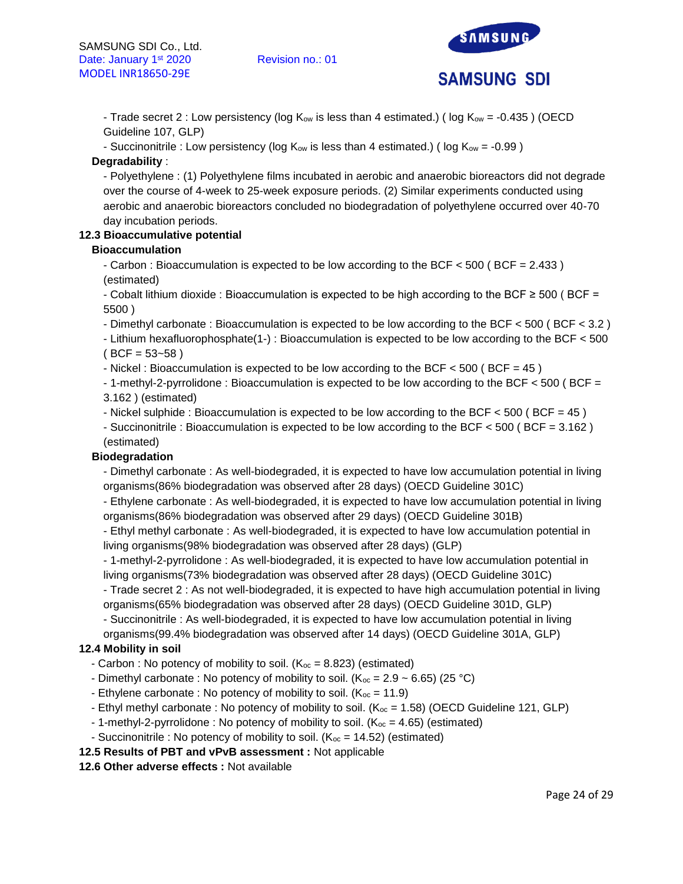

- Trade secret 2 : Low persistency (log  $K_{ow}$  is less than 4 estimated.) (log  $K_{ow} = -0.435$ ) (OECD Guideline 107, GLP)

- Succinonitrile : Low persistency (log  $K_{ow}$  is less than 4 estimated.) (log  $K_{ow} = -0.99$ )

# **Degradability** :

- Polyethylene : (1) Polyethylene films incubated in aerobic and anaerobic bioreactors did not degrade over the course of 4-week to 25-week exposure periods. (2) Similar experiments conducted using aerobic and anaerobic bioreactors concluded no biodegradation of polyethylene occurred over 40-70 day incubation periods.

# **12.3 Bioaccumulative potential**

# **Bioaccumulation**

- Carbon : Bioaccumulation is expected to be low according to the BCF < 500 ( BCF = 2.433 ) (estimated)

- Cobalt lithium dioxide : Bioaccumulation is expected to be high according to the BCF ≥ 500 ( BCF = 5500 )

- Dimethyl carbonate : Bioaccumulation is expected to be low according to the BCF < 500 ( BCF < 3.2 )

- Lithium hexafluorophosphate(1-) : Bioaccumulation is expected to be low according to the BCF < 500  $(BCF = 53 - 58)$ 

- Nickel : Bioaccumulation is expected to be low according to the BCF  $<$  500 (BCF = 45)

- 1-methyl-2-pyrrolidone : Bioaccumulation is expected to be low according to the BCF < 500 ( BCF = 3.162 ) (estimated)

- Nickel sulphide : Bioaccumulation is expected to be low according to the BCF  $<$  500 (BCF = 45)

- Succinonitrile : Bioaccumulation is expected to be low according to the BCF < 500 ( BCF = 3.162 )

(estimated)

# **Biodegradation**

- Dimethyl carbonate : As well-biodegraded, it is expected to have low accumulation potential in living organisms(86% biodegradation was observed after 28 days) (OECD Guideline 301C)

- Ethylene carbonate : As well-biodegraded, it is expected to have low accumulation potential in living organisms(86% biodegradation was observed after 29 days) (OECD Guideline 301B)

- Ethyl methyl carbonate : As well-biodegraded, it is expected to have low accumulation potential in living organisms(98% biodegradation was observed after 28 days) (GLP)

- 1-methyl-2-pyrrolidone : As well-biodegraded, it is expected to have low accumulation potential in living organisms(73% biodegradation was observed after 28 days) (OECD Guideline 301C)

- Trade secret 2 : As not well-biodegraded, it is expected to have high accumulation potential in living organisms(65% biodegradation was observed after 28 days) (OECD Guideline 301D, GLP)

- Succinonitrile : As well-biodegraded, it is expected to have low accumulation potential in living organisms(99.4% biodegradation was observed after 14 days) (OECD Guideline 301A, GLP)

# **12.4 Mobility in soil**

- Carbon : No potency of mobility to soil.  $(K_{\text{oc}} = 8.823)$  (estimated)
- Dimethyl carbonate : No potency of mobility to soil. ( $K_{\infty}$  = 2.9 ~ 6.65) (25 °C)
- Ethylene carbonate : No potency of mobility to soil.  $(K_{oc} = 11.9)$
- Ethyl methyl carbonate : No potency of mobility to soil.  $(K_{oc} = 1.58)$  (OECD Guideline 121, GLP)
- 1-methyl-2-pyrrolidone : No potency of mobility to soil. ( $K_{\text{oc}} = 4.65$ ) (estimated)
- Succinonitrile : No potency of mobility to soil. ( $K_{oc} = 14.52$ ) (estimated)
- **12.5 Results of PBT and vPvB assessment :** Not applicable

# **12.6 Other adverse effects :** Not available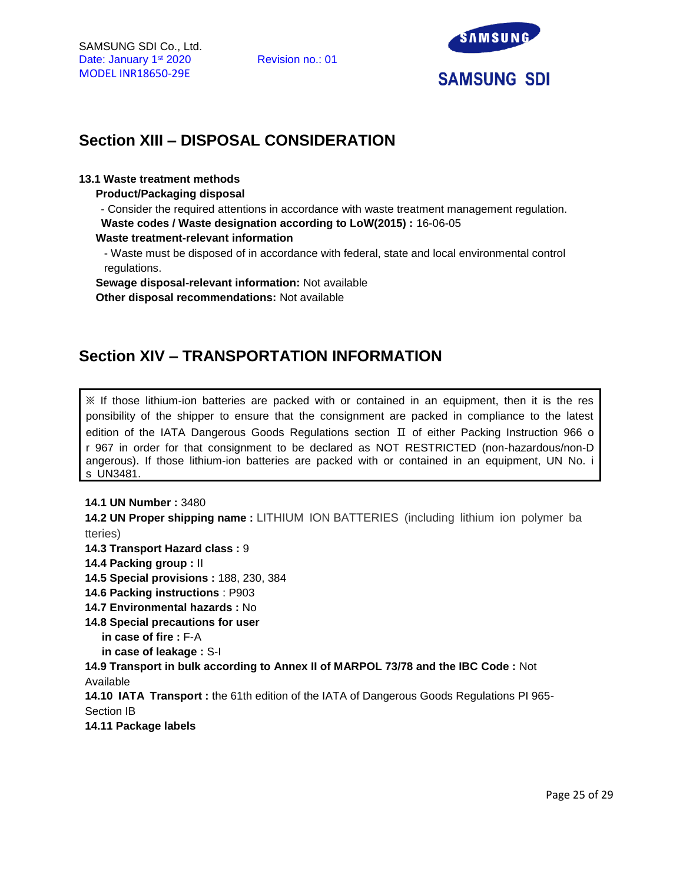

# **Section XIII – DISPOSAL CONSIDERATION**

### **13.1 Waste treatment methods**

**Product/Packaging disposal**

- Consider the required attentions in accordance with waste treatment management regulation. **Waste codes / Waste designation according to LoW(2015) :** 16-06-05

**Waste treatment-relevant information**

- Waste must be disposed of in accordance with federal, state and local environmental control regulations.

**Sewage disposal-relevant information:** Not available

**Other disposal recommendations:** Not available

# **Section XIV – TRANSPORTATION INFORMATION**

 $\mathbb X$  If those lithium-ion batteries are packed with or contained in an equipment, then it is the res ponsibility of the shipper to ensure that the consignment are packed in compliance to the latest edition of the IATA Dangerous Goods Regulations section Ⅱ of either Packing Instruction 966 o r 967 in order for that consignment to be declared as NOT RESTRICTED (non-hazardous/non-D angerous). If those lithium-ion batteries are packed with or contained in an equipment, UN No. i s UN3481.

# **14.1 UN Number :** 3480

**14.2 UN Proper shipping name :** LITHIUM ION BATTERIES (including lithium ion polymer ba tteries)

**14.3 Transport Hazard class :** 9

- **14.4 Packing group :** II
- **14.5 Special provisions :** 188, 230, 384
- **14.6 Packing instructions** : P903
- **14.7 Environmental hazards :** No
- **14.8 Special precautions for user** 
	- **in case of fire :** F-A
	- **in case of leakage :** S-I

**14.9 Transport in bulk according to Annex II of MARPOL 73/78 and the IBC Code :** Not Available

**14.10 IATA Transport :** the 61th edition of the IATA of Dangerous Goods Regulations PI 965- Section IB

# **14.11 Package labels**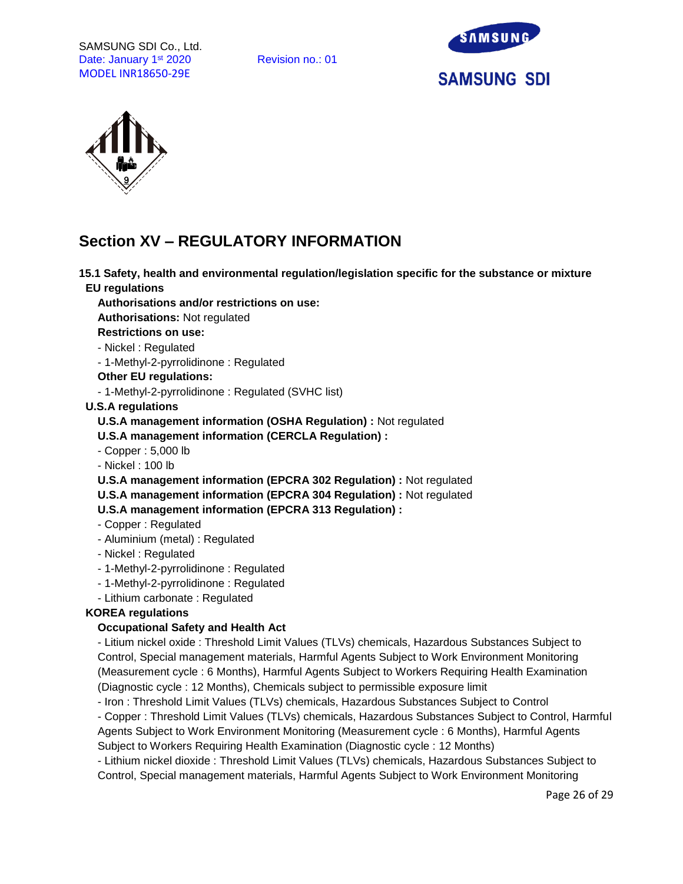SAMSUNG SDI Co., Ltd. Date: January 1<sup>st</sup> 2020 Revision no.: 01 MODEL INR18650-29E





# **Section XV – REGULATORY INFORMATION**

**15.1 Safety, health and environmental regulation/legislation specific for the substance or mixture EU regulations**

**Authorisations and/or restrictions on use:**

**Authorisations:** Not regulated

**Restrictions on use:**

- Nickel : Regulated

- 1-Methyl-2-pyrrolidinone : Regulated

### **Other EU regulations:**

- 1-Methyl-2-pyrrolidinone : Regulated (SVHC list)

### **U.S.A regulations**

**U.S.A management information (OSHA Regulation) :** Not regulated

**U.S.A management information (CERCLA Regulation) :**

- Copper : 5,000 lb

- Nickel : 100 lb

**U.S.A management information (EPCRA 302 Regulation) :** Not regulated

**U.S.A management information (EPCRA 304 Regulation) :** Not regulated

**U.S.A management information (EPCRA 313 Regulation) :**

- Copper : Regulated
- Aluminium (metal) : Regulated
- Nickel : Regulated
- 1-Methyl-2-pyrrolidinone : Regulated
- 1-Methyl-2-pyrrolidinone : Regulated
- Lithium carbonate : Regulated

# **KOREA regulations**

# **Occupational Safety and Health Act**

- Litium nickel oxide : Threshold Limit Values (TLVs) chemicals, Hazardous Substances Subject to Control, Special management materials, Harmful Agents Subject to Work Environment Monitoring (Measurement cycle : 6 Months), Harmful Agents Subject to Workers Requiring Health Examination (Diagnostic cycle : 12 Months), Chemicals subject to permissible exposure limit

- Iron : Threshold Limit Values (TLVs) chemicals, Hazardous Substances Subject to Control

- Copper : Threshold Limit Values (TLVs) chemicals, Hazardous Substances Subject to Control, Harmful Agents Subject to Work Environment Monitoring (Measurement cycle : 6 Months), Harmful Agents Subject to Workers Requiring Health Examination (Diagnostic cycle : 12 Months)

- Lithium nickel dioxide : Threshold Limit Values (TLVs) chemicals, Hazardous Substances Subject to Control, Special management materials, Harmful Agents Subject to Work Environment Monitoring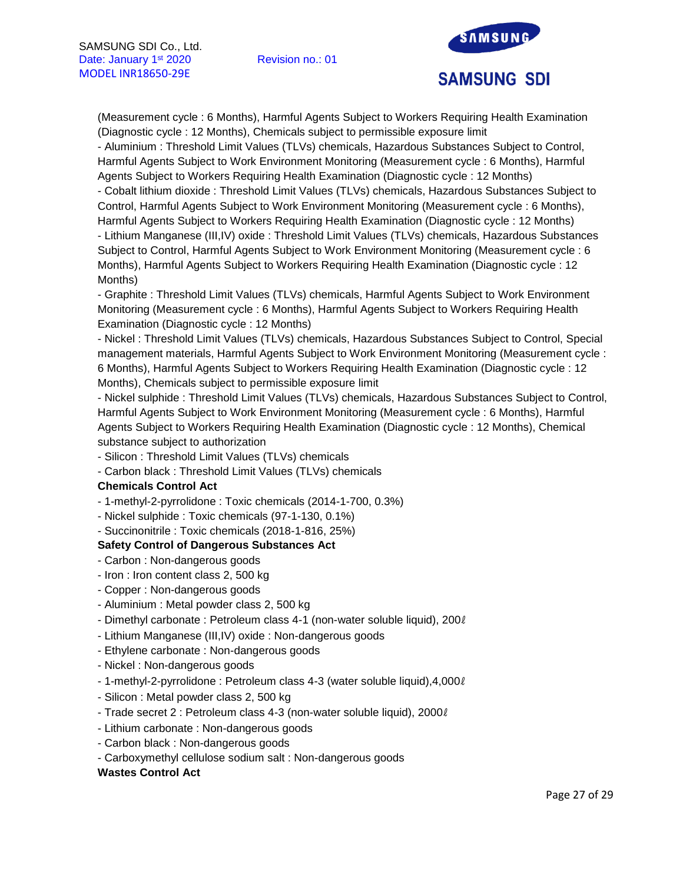

(Measurement cycle : 6 Months), Harmful Agents Subject to Workers Requiring Health Examination (Diagnostic cycle : 12 Months), Chemicals subject to permissible exposure limit

- Aluminium : Threshold Limit Values (TLVs) chemicals, Hazardous Substances Subject to Control, Harmful Agents Subject to Work Environment Monitoring (Measurement cycle : 6 Months), Harmful Agents Subject to Workers Requiring Health Examination (Diagnostic cycle : 12 Months)

- Cobalt lithium dioxide : Threshold Limit Values (TLVs) chemicals, Hazardous Substances Subject to Control, Harmful Agents Subject to Work Environment Monitoring (Measurement cycle : 6 Months), Harmful Agents Subject to Workers Requiring Health Examination (Diagnostic cycle : 12 Months)

- Lithium Manganese (III,IV) oxide : Threshold Limit Values (TLVs) chemicals, Hazardous Substances Subject to Control, Harmful Agents Subject to Work Environment Monitoring (Measurement cycle : 6 Months), Harmful Agents Subject to Workers Requiring Health Examination (Diagnostic cycle : 12 Months)

- Graphite : Threshold Limit Values (TLVs) chemicals, Harmful Agents Subject to Work Environment Monitoring (Measurement cycle : 6 Months), Harmful Agents Subject to Workers Requiring Health Examination (Diagnostic cycle : 12 Months)

- Nickel : Threshold Limit Values (TLVs) chemicals, Hazardous Substances Subject to Control, Special management materials, Harmful Agents Subject to Work Environment Monitoring (Measurement cycle : 6 Months), Harmful Agents Subject to Workers Requiring Health Examination (Diagnostic cycle : 12 Months), Chemicals subject to permissible exposure limit

- Nickel sulphide : Threshold Limit Values (TLVs) chemicals, Hazardous Substances Subject to Control, Harmful Agents Subject to Work Environment Monitoring (Measurement cycle : 6 Months), Harmful Agents Subject to Workers Requiring Health Examination (Diagnostic cycle : 12 Months), Chemical substance subject to authorization

- Silicon : Threshold Limit Values (TLVs) chemicals

- Carbon black : Threshold Limit Values (TLVs) chemicals

# **Chemicals Control Act**

- 1-methyl-2-pyrrolidone : Toxic chemicals (2014-1-700, 0.3%)

- Nickel sulphide : Toxic chemicals (97-1-130, 0.1%)

# - Succinonitrile : Toxic chemicals (2018-1-816, 25%)

# **Safety Control of Dangerous Substances Act**

- Carbon : Non-dangerous goods
- Iron : Iron content class 2, 500 kg
- Copper : Non-dangerous goods
- Aluminium : Metal powder class 2, 500 kg
- Dimethyl carbonate : Petroleum class 4-1 (non-water soluble liquid), 200ℓ
- Lithium Manganese (III,IV) oxide : Non-dangerous goods
- Ethylene carbonate : Non-dangerous goods
- Nickel : Non-dangerous goods
- 1-methyl-2-pyrrolidone : Petroleum class 4-3 (water soluble liquid),4,000ℓ
- Silicon : Metal powder class 2, 500 kg
- Trade secret 2 : Petroleum class 4-3 (non-water soluble liquid), 2000ℓ
- Lithium carbonate : Non-dangerous goods
- Carbon black : Non-dangerous goods
- Carboxymethyl cellulose sodium salt : Non-dangerous goods

#### **Wastes Control Act**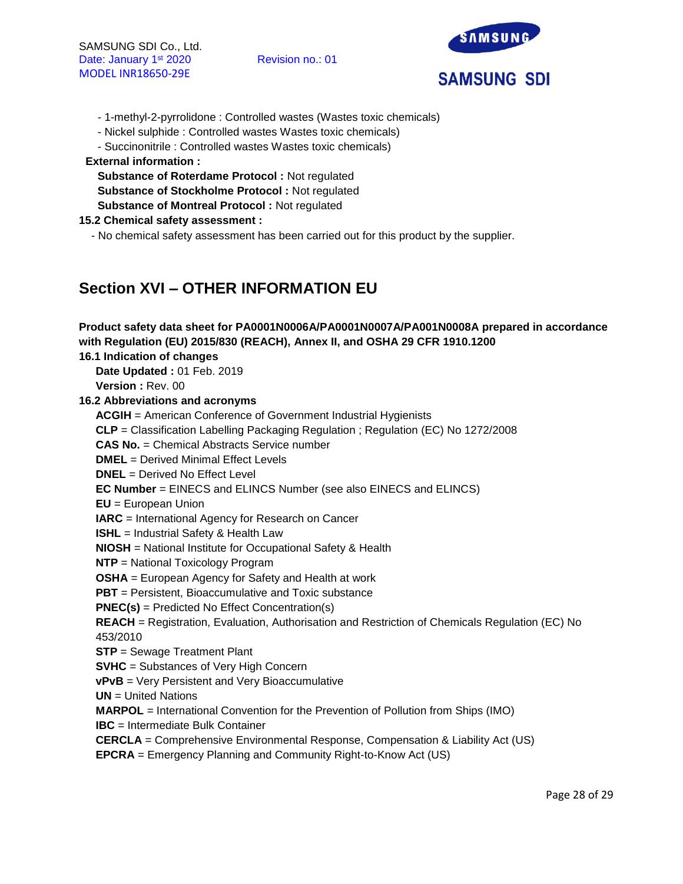

- 1-methyl-2-pyrrolidone : Controlled wastes (Wastes toxic chemicals)
- Nickel sulphide : Controlled wastes Wastes toxic chemicals)
- Succinonitrile : Controlled wastes Wastes toxic chemicals)

#### **External information :**

**Substance of Roterdame Protocol :** Not regulated **Substance of Stockholme Protocol :** Not regulated **Substance of Montreal Protocol :** Not regulated

# **15.2 Chemical safety assessment :**

- No chemical safety assessment has been carried out for this product by the supplier.

# **Section XVI – OTHER INFORMATION EU**

| Product safety data sheet for PA0001N0006A/PA0001N0007A/PA001N0008A prepared in accordance      |
|-------------------------------------------------------------------------------------------------|
| with Regulation (EU) 2015/830 (REACH), Annex II, and OSHA 29 CFR 1910.1200                      |
| 16.1 Indication of changes                                                                      |
| Date Updated: 01 Feb. 2019                                                                      |
| Version: Rev. 00                                                                                |
| 16.2 Abbreviations and acronyms                                                                 |
| <b>ACGIH</b> = American Conference of Government Industrial Hygienists                          |
| CLP = Classification Labelling Packaging Regulation; Regulation (EC) No 1272/2008               |
| <b>CAS No.</b> = Chemical Abstracts Service number                                              |
| <b>DMEL</b> = Derived Minimal Effect Levels                                                     |
| $DNEL = Derived No Effect Level$                                                                |
| <b>EC Number = EINECS and ELINCS Number (see also EINECS and ELINCS)</b>                        |
| $EU = European Union$                                                                           |
| <b>IARC</b> = International Agency for Research on Cancer                                       |
| <b>ISHL</b> = Industrial Safety & Health Law                                                    |
| <b>NIOSH</b> = National Institute for Occupational Safety & Health                              |
| <b>NTP</b> = National Toxicology Program                                                        |
| <b>OSHA</b> = European Agency for Safety and Health at work                                     |
| <b>PBT</b> = Persistent, Bioaccumulative and Toxic substance                                    |
| $PNEC(s)$ = Predicted No Effect Concentration(s)                                                |
| REACH = Registration, Evaluation, Authorisation and Restriction of Chemicals Regulation (EC) No |
| 453/2010                                                                                        |
| <b>STP</b> = Sewage Treatment Plant                                                             |
| <b>SVHC</b> = Substances of Very High Concern                                                   |
| vPvB = Very Persistent and Very Bioaccumulative                                                 |
| $UN = United Nations$                                                                           |
| <b>MARPOL</b> = International Convention for the Prevention of Pollution from Ships (IMO)       |
| <b>IBC</b> = Intermediate Bulk Container                                                        |
| <b>CERCLA</b> = Comprehensive Environmental Response, Compensation & Liability Act (US)         |
| <b>EPCRA</b> = Emergency Planning and Community Right-to-Know Act (US)                          |